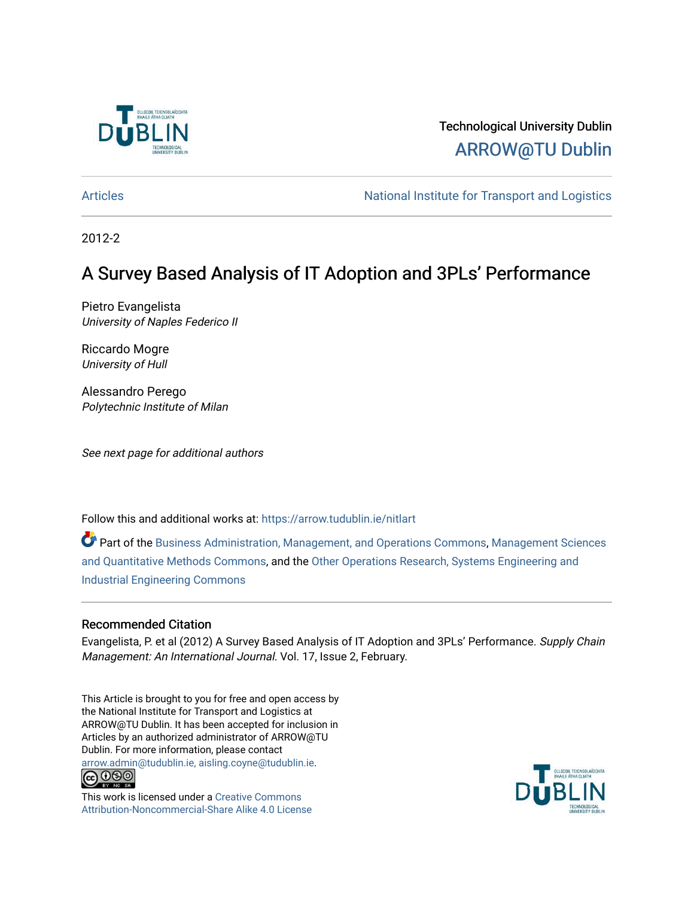

# Technological University Dublin [ARROW@TU Dublin](https://arrow.tudublin.ie/)

[Articles](https://arrow.tudublin.ie/nitlart) **National Institute for Transport and Logistics** Articles

2012-2

# A Survey Based Analysis of IT Adoption and 3PLs' Performance

Pietro Evangelista University of Naples Federico II

Riccardo Mogre University of Hull

Alessandro Perego Polytechnic Institute of Milan

See next page for additional authors

Follow this and additional works at: [https://arrow.tudublin.ie/nitlart](https://arrow.tudublin.ie/nitlart?utm_source=arrow.tudublin.ie%2Fnitlart%2F32&utm_medium=PDF&utm_campaign=PDFCoverPages) 

Part of the [Business Administration, Management, and Operations Commons](http://network.bepress.com/hgg/discipline/623?utm_source=arrow.tudublin.ie%2Fnitlart%2F32&utm_medium=PDF&utm_campaign=PDFCoverPages), [Management Sciences](http://network.bepress.com/hgg/discipline/637?utm_source=arrow.tudublin.ie%2Fnitlart%2F32&utm_medium=PDF&utm_campaign=PDFCoverPages) [and Quantitative Methods Commons,](http://network.bepress.com/hgg/discipline/637?utm_source=arrow.tudublin.ie%2Fnitlart%2F32&utm_medium=PDF&utm_campaign=PDFCoverPages) and the [Other Operations Research, Systems Engineering and](http://network.bepress.com/hgg/discipline/310?utm_source=arrow.tudublin.ie%2Fnitlart%2F32&utm_medium=PDF&utm_campaign=PDFCoverPages)  [Industrial Engineering Commons](http://network.bepress.com/hgg/discipline/310?utm_source=arrow.tudublin.ie%2Fnitlart%2F32&utm_medium=PDF&utm_campaign=PDFCoverPages) 

# Recommended Citation

Evangelista, P. et al (2012) A Survey Based Analysis of IT Adoption and 3PLs' Performance. Supply Chain Management: An International Journal. Vol. 17, Issue 2, February.

This Article is brought to you for free and open access by the National Institute for Transport and Logistics at ARROW@TU Dublin. It has been accepted for inclusion in Articles by an authorized administrator of ARROW@TU Dublin. For more information, please contact [arrow.admin@tudublin.ie, aisling.coyne@tudublin.ie](mailto:arrow.admin@tudublin.ie,%20aisling.coyne@tudublin.ie).



This work is licensed under a [Creative Commons](http://creativecommons.org/licenses/by-nc-sa/4.0/) [Attribution-Noncommercial-Share Alike 4.0 License](http://creativecommons.org/licenses/by-nc-sa/4.0/)

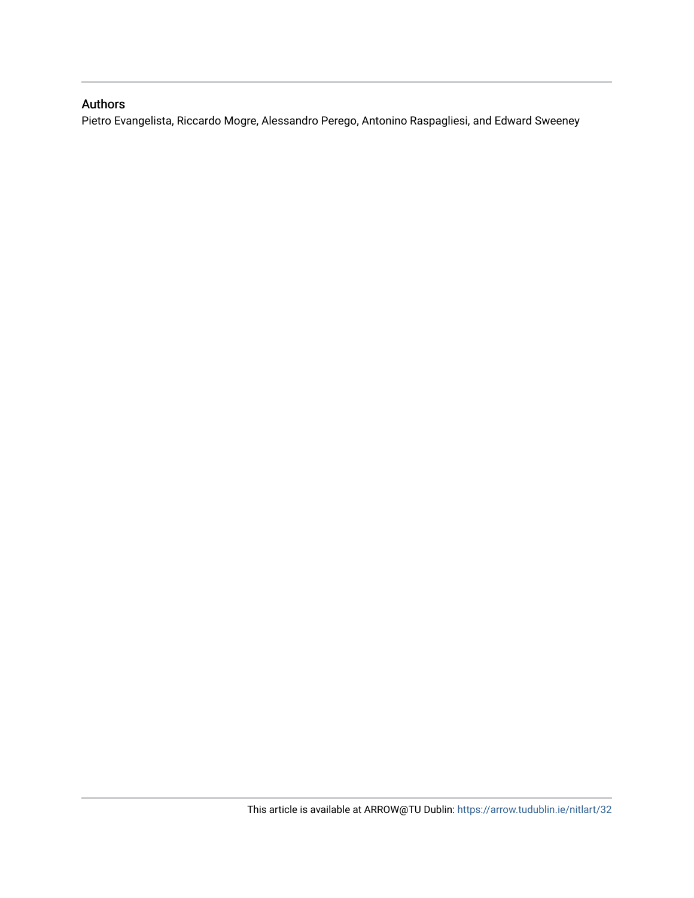# Authors

Pietro Evangelista, Riccardo Mogre, Alessandro Perego, Antonino Raspagliesi, and Edward Sweeney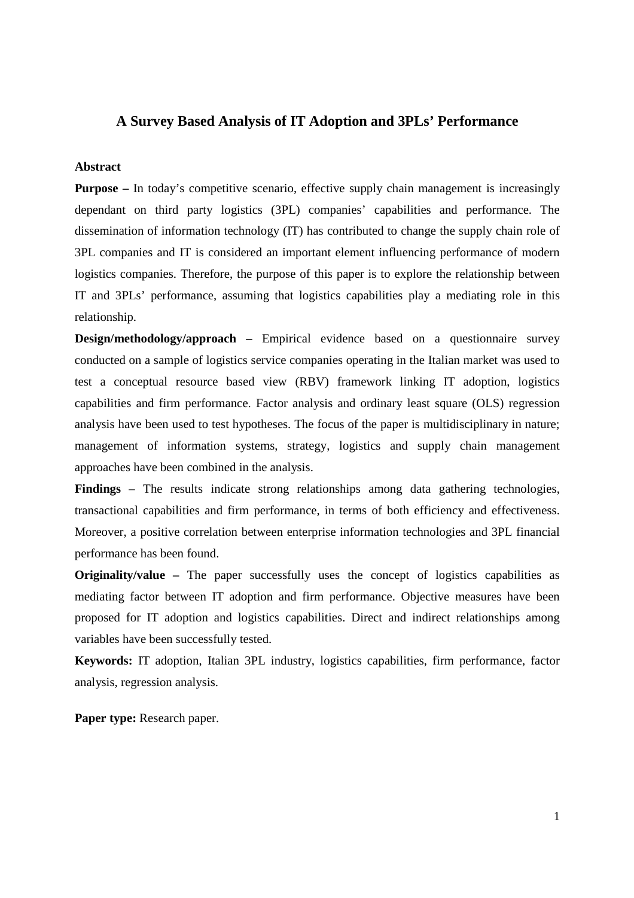# **A Survey Based Analysis of IT Adoption and 3PLs' Performance**

#### **Abstract**

**Purpose** – In today's competitive scenario, effective supply chain management is increasingly dependant on third party logistics (3PL) companies' capabilities and performance. The dissemination of information technology (IT) has contributed to change the supply chain role of 3PL companies and IT is considered an important element influencing performance of modern logistics companies. Therefore, the purpose of this paper is to explore the relationship between IT and 3PLs' performance, assuming that logistics capabilities play a mediating role in this relationship.

**Design/methodology/approach –** Empirical evidence based on a questionnaire survey conducted on a sample of logistics service companies operating in the Italian market was used to test a conceptual resource based view (RBV) framework linking IT adoption, logistics capabilities and firm performance. Factor analysis and ordinary least square (OLS) regression analysis have been used to test hypotheses. The focus of the paper is multidisciplinary in nature; management of information systems, strategy, logistics and supply chain management approaches have been combined in the analysis.

**Findings –** The results indicate strong relationships among data gathering technologies, transactional capabilities and firm performance, in terms of both efficiency and effectiveness. Moreover, a positive correlation between enterprise information technologies and 3PL financial performance has been found.

**Originality/value –** The paper successfully uses the concept of logistics capabilities as mediating factor between IT adoption and firm performance. Objective measures have been proposed for IT adoption and logistics capabilities. Direct and indirect relationships among variables have been successfully tested.

**Keywords:** IT adoption, Italian 3PL industry, logistics capabilities, firm performance, factor analysis, regression analysis.

**Paper type:** Research paper.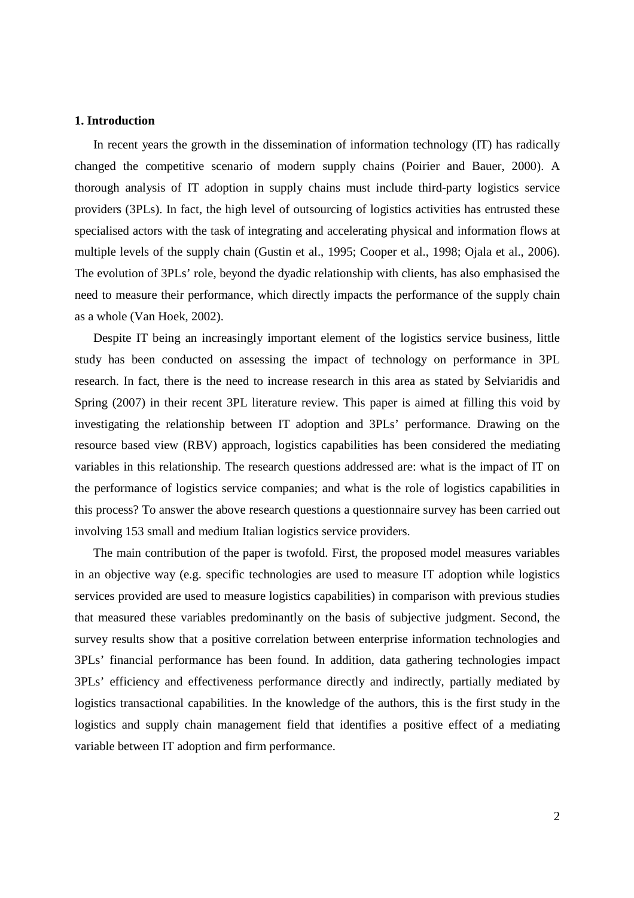#### **1. Introduction**

In recent years the growth in the dissemination of information technology (IT) has radically changed the competitive scenario of modern supply chains (Poirier and Bauer, 2000). A thorough analysis of IT adoption in supply chains must include third-party logistics service providers (3PLs). In fact, the high level of outsourcing of logistics activities has entrusted these specialised actors with the task of integrating and accelerating physical and information flows at multiple levels of the supply chain (Gustin et al., 1995; Cooper et al., 1998; Ojala et al., 2006). The evolution of 3PLs' role, beyond the dyadic relationship with clients, has also emphasised the need to measure their performance, which directly impacts the performance of the supply chain as a whole (Van Hoek, 2002).

Despite IT being an increasingly important element of the logistics service business, little study has been conducted on assessing the impact of technology on performance in 3PL research. In fact, there is the need to increase research in this area as stated by Selviaridis and Spring (2007) in their recent 3PL literature review. This paper is aimed at filling this void by investigating the relationship between IT adoption and 3PLs' performance. Drawing on the resource based view (RBV) approach, logistics capabilities has been considered the mediating variables in this relationship. The research questions addressed are: what is the impact of IT on the performance of logistics service companies; and what is the role of logistics capabilities in this process? To answer the above research questions a questionnaire survey has been carried out involving 153 small and medium Italian logistics service providers.

The main contribution of the paper is twofold. First, the proposed model measures variables in an objective way (e.g. specific technologies are used to measure IT adoption while logistics services provided are used to measure logistics capabilities) in comparison with previous studies that measured these variables predominantly on the basis of subjective judgment. Second, the survey results show that a positive correlation between enterprise information technologies and 3PLs' financial performance has been found. In addition, data gathering technologies impact 3PLs' efficiency and effectiveness performance directly and indirectly, partially mediated by logistics transactional capabilities. In the knowledge of the authors, this is the first study in the logistics and supply chain management field that identifies a positive effect of a mediating variable between IT adoption and firm performance.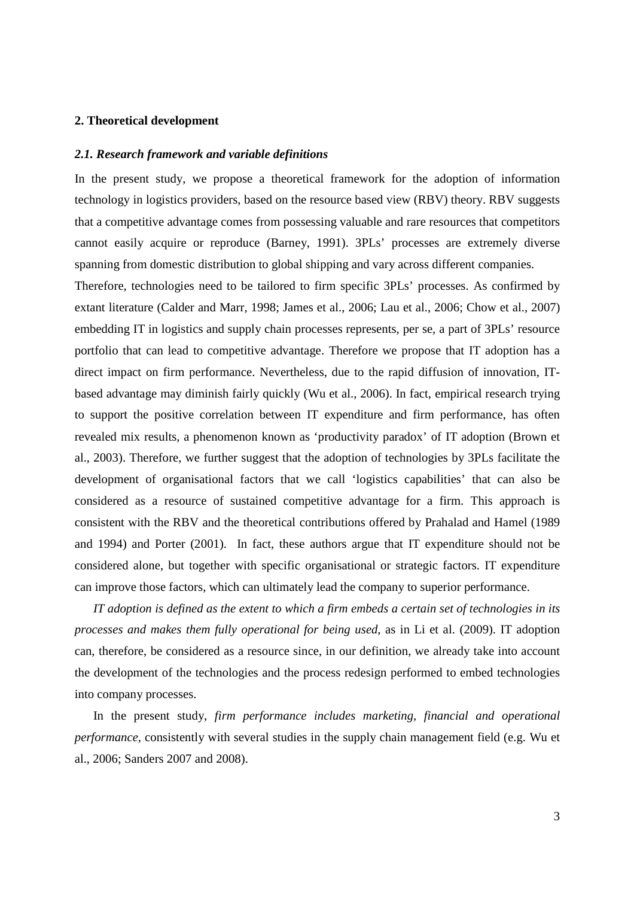#### **2. Theoretical development**

#### *2.1. Research framework and variable definitions*

In the present study, we propose a theoretical framework for the adoption of information technology in logistics providers, based on the resource based view (RBV) theory. RBV suggests that a competitive advantage comes from possessing valuable and rare resources that competitors cannot easily acquire or reproduce (Barney, 1991). 3PLs' processes are extremely diverse spanning from domestic distribution to global shipping and vary across different companies.

Therefore, technologies need to be tailored to firm specific 3PLs' processes. As confirmed by extant literature (Calder and Marr, 1998; James et al., 2006; Lau et al., 2006; Chow et al., 2007) embedding IT in logistics and supply chain processes represents, per se, a part of 3PLs' resource portfolio that can lead to competitive advantage. Therefore we propose that IT adoption has a direct impact on firm performance. Nevertheless, due to the rapid diffusion of innovation, ITbased advantage may diminish fairly quickly (Wu et al., 2006). In fact, empirical research trying to support the positive correlation between IT expenditure and firm performance, has often revealed mix results, a phenomenon known as 'productivity paradox' of IT adoption (Brown et al., 2003). Therefore, we further suggest that the adoption of technologies by 3PLs facilitate the development of organisational factors that we call 'logistics capabilities' that can also be considered as a resource of sustained competitive advantage for a firm. This approach is consistent with the RBV and the theoretical contributions offered by Prahalad and Hamel (1989 and 1994) and Porter (2001). In fact, these authors argue that IT expenditure should not be considered alone, but together with specific organisational or strategic factors. IT expenditure can improve those factors, which can ultimately lead the company to superior performance.

*IT adoption is defined as the extent to which a firm embeds a certain set of technologies in its processes and makes them fully operational for being used*, as in Li et al. (2009). IT adoption can, therefore, be considered as a resource since, in our definition, we already take into account the development of the technologies and the process redesign performed to embed technologies into company processes.

In the present study, *firm performance includes marketing, financial and operational performance,* consistently with several studies in the supply chain management field (e.g. Wu et al., 2006; Sanders 2007 and 2008).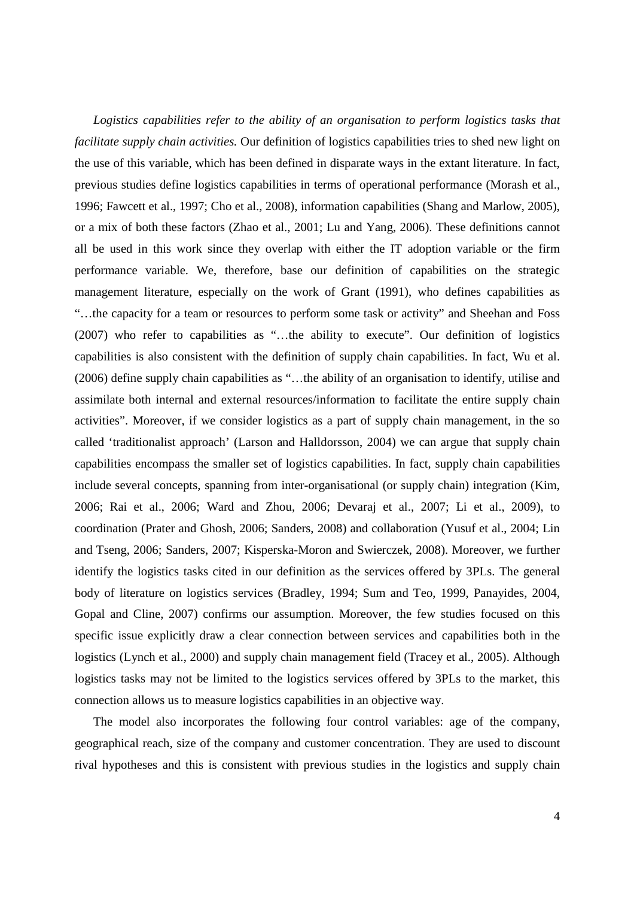*Logistics capabilities refer to the ability of an organisation to perform logistics tasks that facilitate supply chain activities.* Our definition of logistics capabilities tries to shed new light on the use of this variable, which has been defined in disparate ways in the extant literature. In fact, previous studies define logistics capabilities in terms of operational performance (Morash et al., 1996; Fawcett et al., 1997; Cho et al., 2008), information capabilities (Shang and Marlow, 2005), or a mix of both these factors (Zhao et al., 2001; Lu and Yang, 2006). These definitions cannot all be used in this work since they overlap with either the IT adoption variable or the firm performance variable. We, therefore, base our definition of capabilities on the strategic management literature, especially on the work of Grant (1991), who defines capabilities as "…the capacity for a team or resources to perform some task or activity" and Sheehan and Foss (2007) who refer to capabilities as "…the ability to execute". Our definition of logistics capabilities is also consistent with the definition of supply chain capabilities. In fact, Wu et al. (2006) define supply chain capabilities as "…the ability of an organisation to identify, utilise and assimilate both internal and external resources/information to facilitate the entire supply chain activities". Moreover, if we consider logistics as a part of supply chain management, in the so called 'traditionalist approach' (Larson and Halldorsson, 2004) we can argue that supply chain capabilities encompass the smaller set of logistics capabilities. In fact, supply chain capabilities include several concepts, spanning from inter-organisational (or supply chain) integration (Kim, 2006; Rai et al., 2006; Ward and Zhou, 2006; Devaraj et al., 2007; Li et al., 2009), to coordination (Prater and Ghosh, 2006; Sanders, 2008) and collaboration (Yusuf et al., 2004; Lin and Tseng, 2006; Sanders, 2007; Kisperska-Moron and Swierczek, 2008). Moreover, we further identify the logistics tasks cited in our definition as the services offered by 3PLs. The general body of literature on logistics services (Bradley, 1994; Sum and Teo, 1999, Panayides, 2004, Gopal and Cline, 2007) confirms our assumption. Moreover, the few studies focused on this specific issue explicitly draw a clear connection between services and capabilities both in the logistics (Lynch et al., 2000) and supply chain management field (Tracey et al., 2005). Although logistics tasks may not be limited to the logistics services offered by 3PLs to the market, this connection allows us to measure logistics capabilities in an objective way.

The model also incorporates the following four control variables: age of the company, geographical reach, size of the company and customer concentration. They are used to discount rival hypotheses and this is consistent with previous studies in the logistics and supply chain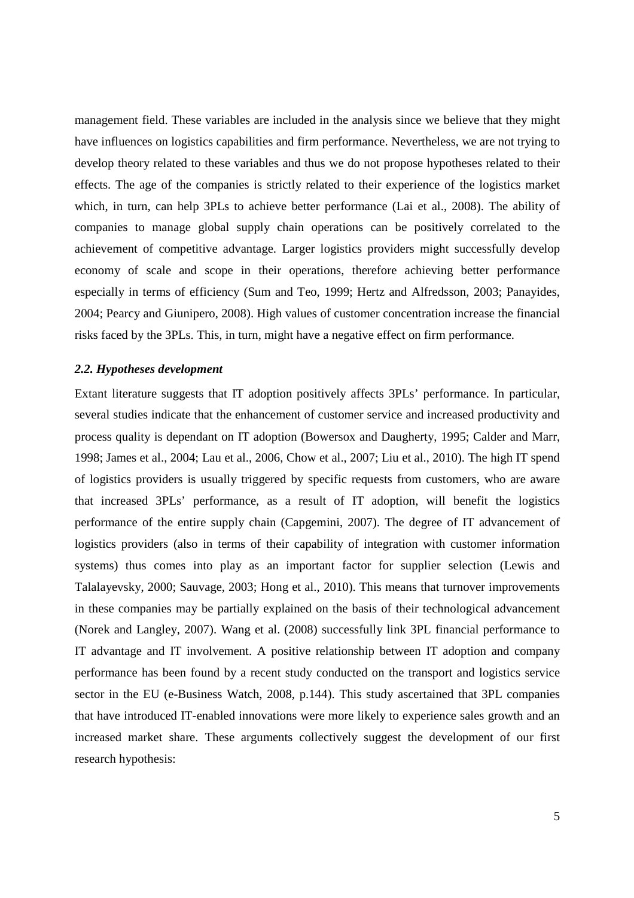management field. These variables are included in the analysis since we believe that they might have influences on logistics capabilities and firm performance. Nevertheless, we are not trying to develop theory related to these variables and thus we do not propose hypotheses related to their effects. The age of the companies is strictly related to their experience of the logistics market which, in turn, can help 3PLs to achieve better performance (Lai et al., 2008). The ability of companies to manage global supply chain operations can be positively correlated to the achievement of competitive advantage. Larger logistics providers might successfully develop economy of scale and scope in their operations, therefore achieving better performance especially in terms of efficiency (Sum and Teo, 1999; Hertz and Alfredsson, 2003; Panayides, 2004; Pearcy and Giunipero, 2008). High values of customer concentration increase the financial risks faced by the 3PLs. This, in turn, might have a negative effect on firm performance.

#### *2.2. Hypotheses development*

Extant literature suggests that IT adoption positively affects 3PLs' performance. In particular, several studies indicate that the enhancement of customer service and increased productivity and process quality is dependant on IT adoption (Bowersox and Daugherty, 1995; Calder and Marr, 1998; James et al., 2004; Lau et al., 2006, Chow et al., 2007; Liu et al., 2010). The high IT spend of logistics providers is usually triggered by specific requests from customers, who are aware that increased 3PLs' performance, as a result of IT adoption, will benefit the logistics performance of the entire supply chain (Capgemini, 2007). The degree of IT advancement of logistics providers (also in terms of their capability of integration with customer information systems) thus comes into play as an important factor for supplier selection (Lewis and Talalayevsky, 2000; Sauvage, 2003; Hong et al., 2010). This means that turnover improvements in these companies may be partially explained on the basis of their technological advancement (Norek and Langley, 2007). Wang et al. (2008) successfully link 3PL financial performance to IT advantage and IT involvement. A positive relationship between IT adoption and company performance has been found by a recent study conducted on the transport and logistics service sector in the EU (e-Business Watch, 2008, p.144). This study ascertained that 3PL companies that have introduced IT-enabled innovations were more likely to experience sales growth and an increased market share. These arguments collectively suggest the development of our first research hypothesis: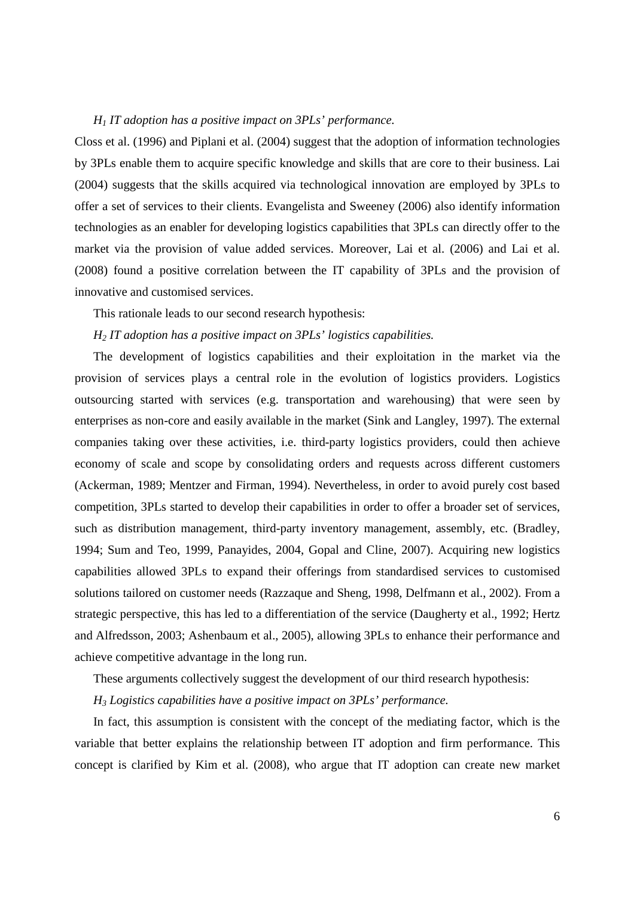#### *H1 IT adoption has a positive impact on 3PLs' performance.*

Closs et al. (1996) and Piplani et al. (2004) suggest that the adoption of information technologies by 3PLs enable them to acquire specific knowledge and skills that are core to their business. Lai (2004) suggests that the skills acquired via technological innovation are employed by 3PLs to offer a set of services to their clients. Evangelista and Sweeney (2006) also identify information technologies as an enabler for developing logistics capabilities that 3PLs can directly offer to the market via the provision of value added services. Moreover, Lai et al. (2006) and Lai et al. (2008) found a positive correlation between the IT capability of 3PLs and the provision of innovative and customised services.

This rationale leads to our second research hypothesis:

*H2 IT adoption has a positive impact on 3PLs' logistics capabilities.* 

The development of logistics capabilities and their exploitation in the market via the provision of services plays a central role in the evolution of logistics providers. Logistics outsourcing started with services (e.g. transportation and warehousing) that were seen by enterprises as non-core and easily available in the market (Sink and Langley, 1997). The external companies taking over these activities, i.e. third-party logistics providers, could then achieve economy of scale and scope by consolidating orders and requests across different customers (Ackerman, 1989; Mentzer and Firman, 1994). Nevertheless, in order to avoid purely cost based competition, 3PLs started to develop their capabilities in order to offer a broader set of services, such as distribution management, third-party inventory management, assembly, etc. (Bradley, 1994; Sum and Teo, 1999, Panayides, 2004, Gopal and Cline, 2007). Acquiring new logistics capabilities allowed 3PLs to expand their offerings from standardised services to customised solutions tailored on customer needs (Razzaque and Sheng, 1998, Delfmann et al., 2002). From a strategic perspective, this has led to a differentiation of the service (Daugherty et al., 1992; Hertz and Alfredsson, 2003; Ashenbaum et al., 2005), allowing 3PLs to enhance their performance and achieve competitive advantage in the long run.

These arguments collectively suggest the development of our third research hypothesis:

*H3 Logistics capabilities have a positive impact on 3PLs' performance.* 

In fact, this assumption is consistent with the concept of the mediating factor, which is the variable that better explains the relationship between IT adoption and firm performance. This concept is clarified by Kim et al. (2008), who argue that IT adoption can create new market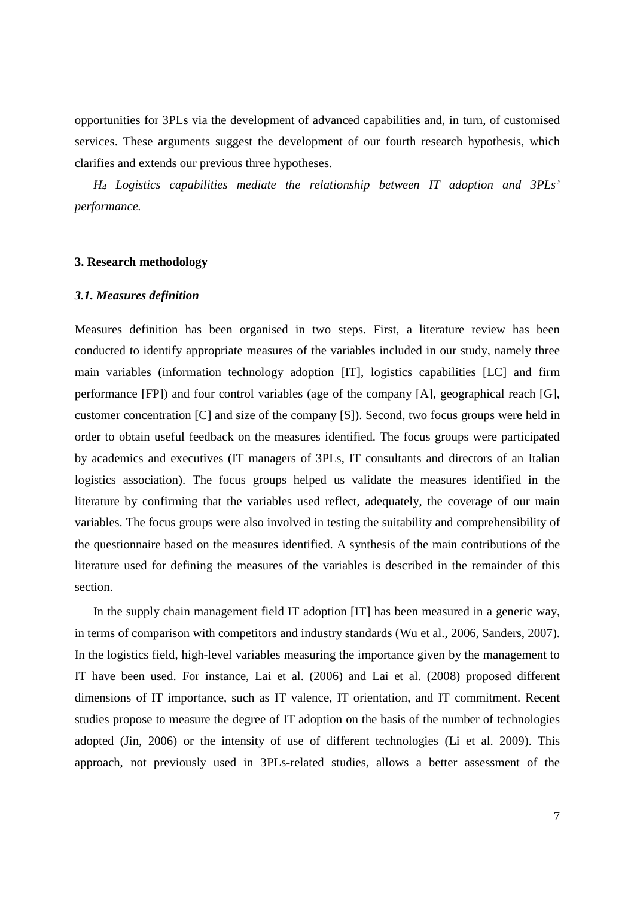opportunities for 3PLs via the development of advanced capabilities and, in turn, of customised services. These arguments suggest the development of our fourth research hypothesis, which clarifies and extends our previous three hypotheses.

*H4 Logistics capabilities mediate the relationship between IT adoption and 3PLs' performance.* 

## **3. Research methodology**

#### *3.1. Measures definition*

Measures definition has been organised in two steps. First, a literature review has been conducted to identify appropriate measures of the variables included in our study, namely three main variables (information technology adoption [IT], logistics capabilities [LC] and firm performance [FP]) and four control variables (age of the company [A], geographical reach [G], customer concentration [C] and size of the company [S]). Second, two focus groups were held in order to obtain useful feedback on the measures identified. The focus groups were participated by academics and executives (IT managers of 3PLs, IT consultants and directors of an Italian logistics association). The focus groups helped us validate the measures identified in the literature by confirming that the variables used reflect, adequately, the coverage of our main variables. The focus groups were also involved in testing the suitability and comprehensibility of the questionnaire based on the measures identified. A synthesis of the main contributions of the literature used for defining the measures of the variables is described in the remainder of this section.

In the supply chain management field IT adoption [IT] has been measured in a generic way, in terms of comparison with competitors and industry standards (Wu et al., 2006, Sanders, 2007). In the logistics field, high-level variables measuring the importance given by the management to IT have been used. For instance, Lai et al. (2006) and Lai et al. (2008) proposed different dimensions of IT importance, such as IT valence, IT orientation, and IT commitment. Recent studies propose to measure the degree of IT adoption on the basis of the number of technologies adopted (Jin, 2006) or the intensity of use of different technologies (Li et al. 2009). This approach, not previously used in 3PLs-related studies, allows a better assessment of the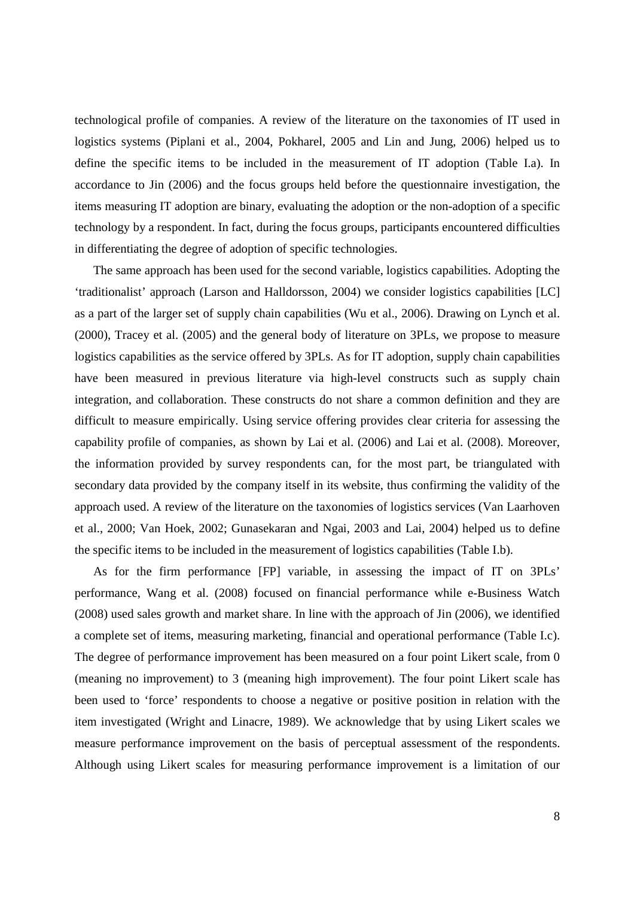technological profile of companies. A review of the literature on the taxonomies of IT used in logistics systems (Piplani et al., 2004, Pokharel, 2005 and Lin and Jung, 2006) helped us to define the specific items to be included in the measurement of IT adoption (Table I.a). In accordance to Jin (2006) and the focus groups held before the questionnaire investigation, the items measuring IT adoption are binary, evaluating the adoption or the non-adoption of a specific technology by a respondent. In fact, during the focus groups, participants encountered difficulties in differentiating the degree of adoption of specific technologies.

The same approach has been used for the second variable, logistics capabilities. Adopting the 'traditionalist' approach (Larson and Halldorsson, 2004) we consider logistics capabilities [LC] as a part of the larger set of supply chain capabilities (Wu et al., 2006). Drawing on Lynch et al. (2000), Tracey et al. (2005) and the general body of literature on 3PLs, we propose to measure logistics capabilities as the service offered by 3PLs. As for IT adoption, supply chain capabilities have been measured in previous literature via high-level constructs such as supply chain integration, and collaboration. These constructs do not share a common definition and they are difficult to measure empirically. Using service offering provides clear criteria for assessing the capability profile of companies, as shown by Lai et al. (2006) and Lai et al. (2008). Moreover, the information provided by survey respondents can, for the most part, be triangulated with secondary data provided by the company itself in its website, thus confirming the validity of the approach used. A review of the literature on the taxonomies of logistics services (Van Laarhoven et al., 2000; Van Hoek, 2002; Gunasekaran and Ngai, 2003 and Lai, 2004) helped us to define the specific items to be included in the measurement of logistics capabilities (Table I.b).

As for the firm performance [FP] variable, in assessing the impact of IT on 3PLs' performance, Wang et al. (2008) focused on financial performance while e-Business Watch (2008) used sales growth and market share. In line with the approach of Jin (2006), we identified a complete set of items, measuring marketing, financial and operational performance (Table I.c). The degree of performance improvement has been measured on a four point Likert scale, from 0 (meaning no improvement) to 3 (meaning high improvement). The four point Likert scale has been used to 'force' respondents to choose a negative or positive position in relation with the item investigated (Wright and Linacre, 1989). We acknowledge that by using Likert scales we measure performance improvement on the basis of perceptual assessment of the respondents. Although using Likert scales for measuring performance improvement is a limitation of our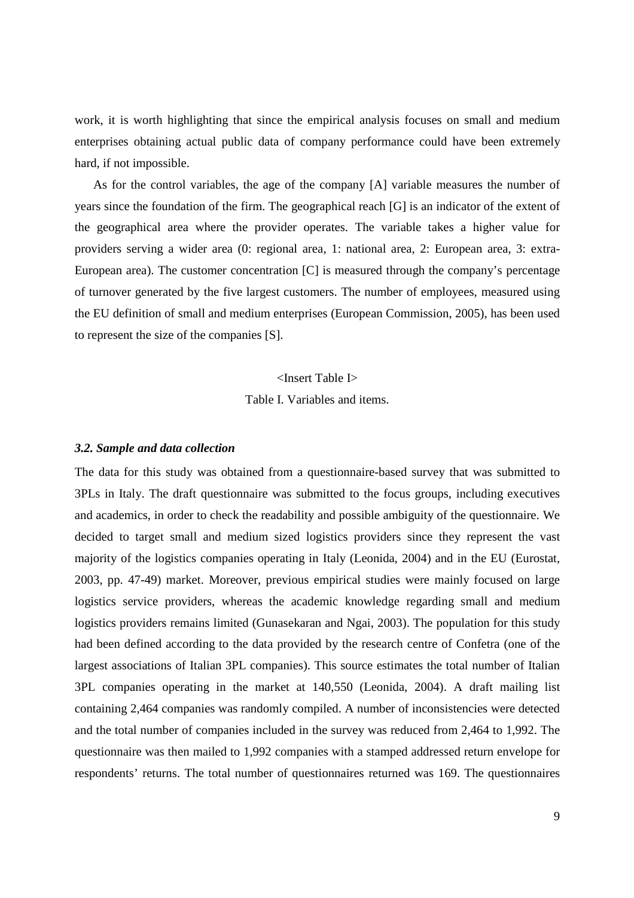work, it is worth highlighting that since the empirical analysis focuses on small and medium enterprises obtaining actual public data of company performance could have been extremely hard, if not impossible.

As for the control variables, the age of the company [A] variable measures the number of years since the foundation of the firm. The geographical reach [G] is an indicator of the extent of the geographical area where the provider operates. The variable takes a higher value for providers serving a wider area (0: regional area, 1: national area, 2: European area, 3: extra-European area). The customer concentration [C] is measured through the company's percentage of turnover generated by the five largest customers. The number of employees, measured using the EU definition of small and medium enterprises (European Commission, 2005), has been used to represent the size of the companies [S].

# <Insert Table I>

Table I. Variables and items.

#### *3.2. Sample and data collection*

The data for this study was obtained from a questionnaire-based survey that was submitted to 3PLs in Italy. The draft questionnaire was submitted to the focus groups, including executives and academics, in order to check the readability and possible ambiguity of the questionnaire. We decided to target small and medium sized logistics providers since they represent the vast majority of the logistics companies operating in Italy (Leonida, 2004) and in the EU (Eurostat, 2003, pp. 47-49) market. Moreover, previous empirical studies were mainly focused on large logistics service providers, whereas the academic knowledge regarding small and medium logistics providers remains limited (Gunasekaran and Ngai, 2003). The population for this study had been defined according to the data provided by the research centre of Confetra (one of the largest associations of Italian 3PL companies). This source estimates the total number of Italian 3PL companies operating in the market at 140,550 (Leonida, 2004). A draft mailing list containing 2,464 companies was randomly compiled. A number of inconsistencies were detected and the total number of companies included in the survey was reduced from 2,464 to 1,992. The questionnaire was then mailed to 1,992 companies with a stamped addressed return envelope for respondents' returns. The total number of questionnaires returned was 169. The questionnaires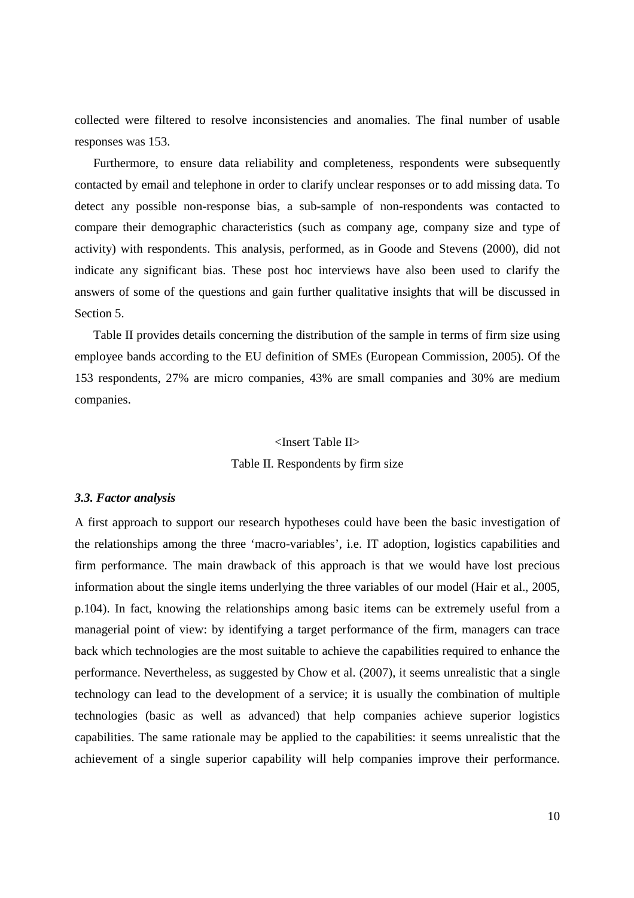collected were filtered to resolve inconsistencies and anomalies. The final number of usable responses was 153.

Furthermore, to ensure data reliability and completeness, respondents were subsequently contacted by email and telephone in order to clarify unclear responses or to add missing data. To detect any possible non-response bias, a sub-sample of non-respondents was contacted to compare their demographic characteristics (such as company age, company size and type of activity) with respondents. This analysis, performed, as in Goode and Stevens (2000), did not indicate any significant bias. These post hoc interviews have also been used to clarify the answers of some of the questions and gain further qualitative insights that will be discussed in Section 5.

Table II provides details concerning the distribution of the sample in terms of firm size using employee bands according to the EU definition of SMEs (European Commission, 2005). Of the 153 respondents, 27% are micro companies, 43% are small companies and 30% are medium companies.

# <Insert Table II> Table II. Respondents by firm size

#### *3.3. Factor analysis*

A first approach to support our research hypotheses could have been the basic investigation of the relationships among the three 'macro-variables', i.e. IT adoption, logistics capabilities and firm performance. The main drawback of this approach is that we would have lost precious information about the single items underlying the three variables of our model (Hair et al., 2005, p.104). In fact, knowing the relationships among basic items can be extremely useful from a managerial point of view: by identifying a target performance of the firm, managers can trace back which technologies are the most suitable to achieve the capabilities required to enhance the performance. Nevertheless, as suggested by Chow et al. (2007), it seems unrealistic that a single technology can lead to the development of a service; it is usually the combination of multiple technologies (basic as well as advanced) that help companies achieve superior logistics capabilities. The same rationale may be applied to the capabilities: it seems unrealistic that the achievement of a single superior capability will help companies improve their performance.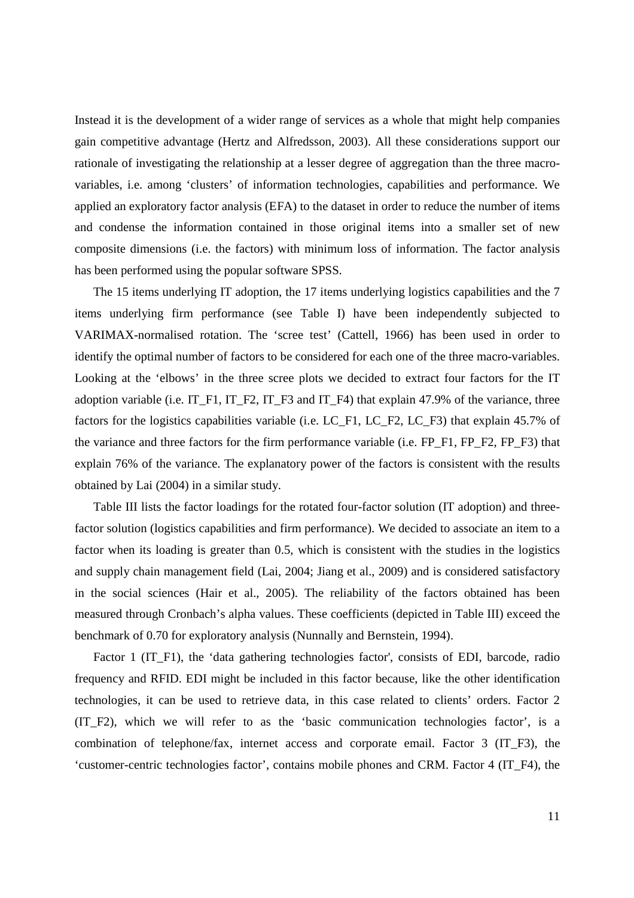Instead it is the development of a wider range of services as a whole that might help companies gain competitive advantage (Hertz and Alfredsson, 2003). All these considerations support our rationale of investigating the relationship at a lesser degree of aggregation than the three macrovariables, i.e. among 'clusters' of information technologies, capabilities and performance. We applied an exploratory factor analysis (EFA) to the dataset in order to reduce the number of items and condense the information contained in those original items into a smaller set of new composite dimensions (i.e. the factors) with minimum loss of information. The factor analysis has been performed using the popular software SPSS.

The 15 items underlying IT adoption, the 17 items underlying logistics capabilities and the 7 items underlying firm performance (see Table I) have been independently subjected to VARIMAX-normalised rotation. The 'scree test' (Cattell, 1966) has been used in order to identify the optimal number of factors to be considered for each one of the three macro-variables. Looking at the 'elbows' in the three scree plots we decided to extract four factors for the IT adoption variable (i.e. IT\_F1, IT\_F2, IT\_F3 and IT\_F4) that explain 47.9% of the variance, three factors for the logistics capabilities variable (i.e. LC\_F1, LC\_F2, LC\_F3) that explain 45.7% of the variance and three factors for the firm performance variable (i.e. FP\_F1, FP\_F2, FP\_F3) that explain 76% of the variance. The explanatory power of the factors is consistent with the results obtained by Lai (2004) in a similar study.

Table III lists the factor loadings for the rotated four-factor solution (IT adoption) and threefactor solution (logistics capabilities and firm performance). We decided to associate an item to a factor when its loading is greater than 0.5, which is consistent with the studies in the logistics and supply chain management field (Lai, 2004; Jiang et al., 2009) and is considered satisfactory in the social sciences (Hair et al., 2005). The reliability of the factors obtained has been measured through Cronbach's alpha values. These coefficients (depicted in Table III) exceed the benchmark of 0.70 for exploratory analysis (Nunnally and Bernstein, 1994).

Factor 1 (IT\_F1), the 'data gathering technologies factor', consists of EDI, barcode, radio frequency and RFID. EDI might be included in this factor because, like the other identification technologies, it can be used to retrieve data, in this case related to clients' orders. Factor 2 (IT\_F2), which we will refer to as the 'basic communication technologies factor', is a combination of telephone/fax, internet access and corporate email. Factor 3 (IT\_F3), the 'customer-centric technologies factor', contains mobile phones and CRM. Factor 4 (IT\_F4), the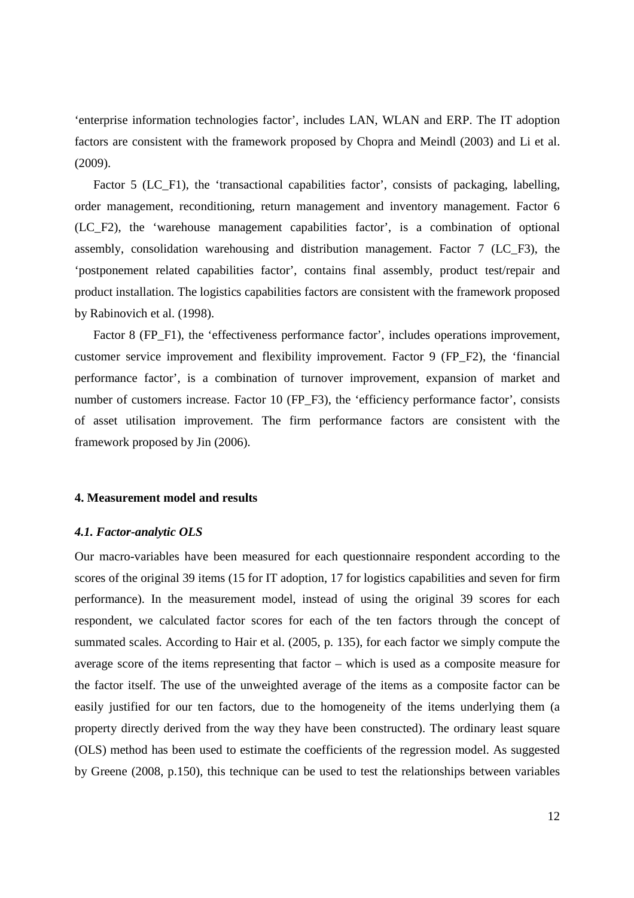'enterprise information technologies factor', includes LAN, WLAN and ERP. The IT adoption factors are consistent with the framework proposed by Chopra and Meindl (2003) and Li et al. (2009).

Factor 5 (LC\_F1), the 'transactional capabilities factor', consists of packaging, labelling, order management, reconditioning, return management and inventory management. Factor 6 (LC\_F2), the 'warehouse management capabilities factor', is a combination of optional assembly, consolidation warehousing and distribution management. Factor 7 (LC\_F3), the 'postponement related capabilities factor', contains final assembly, product test/repair and product installation. The logistics capabilities factors are consistent with the framework proposed by Rabinovich et al. (1998).

Factor 8 (FP\_F1), the 'effectiveness performance factor', includes operations improvement, customer service improvement and flexibility improvement. Factor 9 (FP\_F2), the 'financial performance factor', is a combination of turnover improvement, expansion of market and number of customers increase. Factor 10 (FP\_F3), the 'efficiency performance factor', consists of asset utilisation improvement. The firm performance factors are consistent with the framework proposed by Jin (2006).

#### **4. Measurement model and results**

#### *4.1. Factor-analytic OLS*

Our macro-variables have been measured for each questionnaire respondent according to the scores of the original 39 items (15 for IT adoption, 17 for logistics capabilities and seven for firm performance). In the measurement model, instead of using the original 39 scores for each respondent, we calculated factor scores for each of the ten factors through the concept of summated scales. According to Hair et al. (2005, p. 135), for each factor we simply compute the average score of the items representing that factor – which is used as a composite measure for the factor itself. The use of the unweighted average of the items as a composite factor can be easily justified for our ten factors, due to the homogeneity of the items underlying them (a property directly derived from the way they have been constructed). The ordinary least square (OLS) method has been used to estimate the coefficients of the regression model. As suggested by Greene (2008, p.150), this technique can be used to test the relationships between variables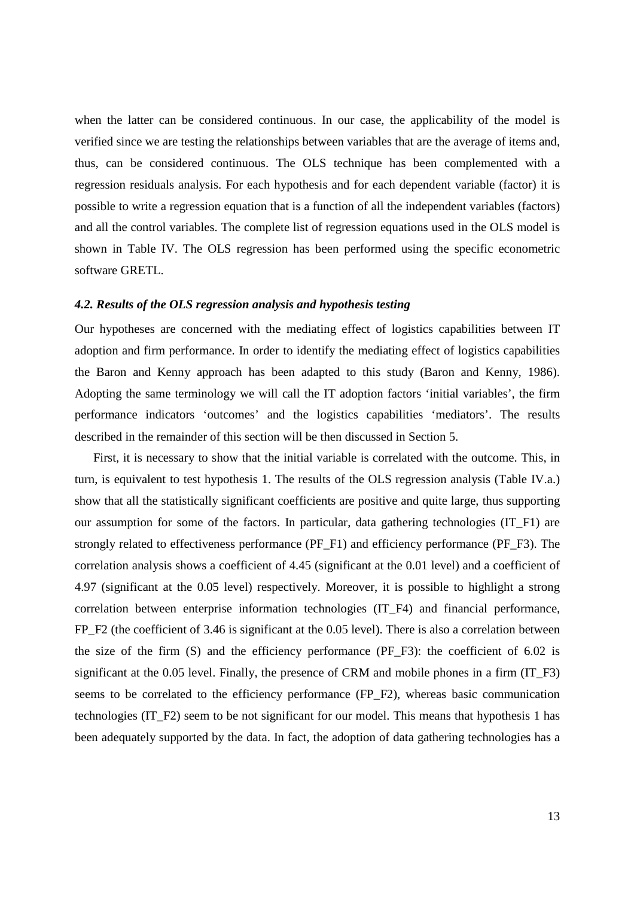when the latter can be considered continuous. In our case, the applicability of the model is verified since we are testing the relationships between variables that are the average of items and, thus, can be considered continuous. The OLS technique has been complemented with a regression residuals analysis. For each hypothesis and for each dependent variable (factor) it is possible to write a regression equation that is a function of all the independent variables (factors) and all the control variables. The complete list of regression equations used in the OLS model is shown in Table IV. The OLS regression has been performed using the specific econometric software GRETL.

# *4.2. Results of the OLS regression analysis and hypothesis testing*

Our hypotheses are concerned with the mediating effect of logistics capabilities between IT adoption and firm performance. In order to identify the mediating effect of logistics capabilities the Baron and Kenny approach has been adapted to this study (Baron and Kenny, 1986). Adopting the same terminology we will call the IT adoption factors 'initial variables', the firm performance indicators 'outcomes' and the logistics capabilities 'mediators'. The results described in the remainder of this section will be then discussed in Section 5.

First, it is necessary to show that the initial variable is correlated with the outcome. This, in turn, is equivalent to test hypothesis 1. The results of the OLS regression analysis (Table IV.a.) show that all the statistically significant coefficients are positive and quite large, thus supporting our assumption for some of the factors. In particular, data gathering technologies (IT\_F1) are strongly related to effectiveness performance (PF\_F1) and efficiency performance (PF\_F3). The correlation analysis shows a coefficient of 4.45 (significant at the 0.01 level) and a coefficient of 4.97 (significant at the 0.05 level) respectively. Moreover, it is possible to highlight a strong correlation between enterprise information technologies (IT\_F4) and financial performance, FP\_F2 (the coefficient of 3.46 is significant at the 0.05 level). There is also a correlation between the size of the firm (S) and the efficiency performance (PF\_F3): the coefficient of 6.02 is significant at the 0.05 level. Finally, the presence of CRM and mobile phones in a firm (IT\_F3) seems to be correlated to the efficiency performance (FP\_F2), whereas basic communication technologies (IT\_F2) seem to be not significant for our model. This means that hypothesis 1 has been adequately supported by the data. In fact, the adoption of data gathering technologies has a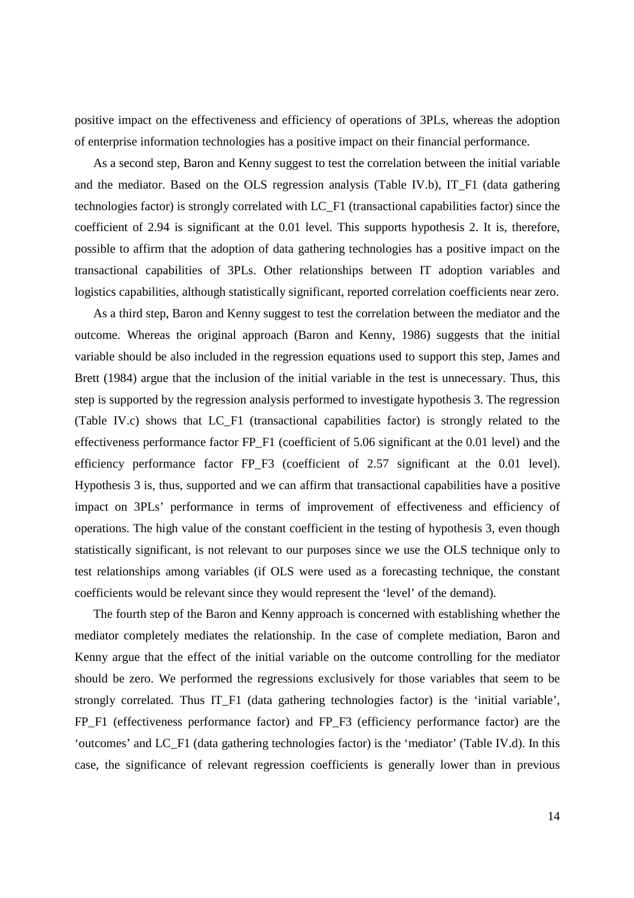positive impact on the effectiveness and efficiency of operations of 3PLs, whereas the adoption of enterprise information technologies has a positive impact on their financial performance.

As a second step, Baron and Kenny suggest to test the correlation between the initial variable and the mediator. Based on the OLS regression analysis (Table IV.b), IT\_F1 (data gathering technologies factor) is strongly correlated with LC\_F1 (transactional capabilities factor) since the coefficient of 2.94 is significant at the 0.01 level. This supports hypothesis 2. It is, therefore, possible to affirm that the adoption of data gathering technologies has a positive impact on the transactional capabilities of 3PLs. Other relationships between IT adoption variables and logistics capabilities, although statistically significant, reported correlation coefficients near zero.

As a third step, Baron and Kenny suggest to test the correlation between the mediator and the outcome. Whereas the original approach (Baron and Kenny, 1986) suggests that the initial variable should be also included in the regression equations used to support this step, James and Brett (1984) argue that the inclusion of the initial variable in the test is unnecessary. Thus, this step is supported by the regression analysis performed to investigate hypothesis 3. The regression (Table IV.c) shows that LC\_F1 (transactional capabilities factor) is strongly related to the effectiveness performance factor FP\_F1 (coefficient of 5.06 significant at the 0.01 level) and the efficiency performance factor FP\_F3 (coefficient of 2.57 significant at the 0.01 level). Hypothesis 3 is, thus, supported and we can affirm that transactional capabilities have a positive impact on 3PLs' performance in terms of improvement of effectiveness and efficiency of operations. The high value of the constant coefficient in the testing of hypothesis 3, even though statistically significant, is not relevant to our purposes since we use the OLS technique only to test relationships among variables (if OLS were used as a forecasting technique, the constant coefficients would be relevant since they would represent the 'level' of the demand).

The fourth step of the Baron and Kenny approach is concerned with establishing whether the mediator completely mediates the relationship. In the case of complete mediation, Baron and Kenny argue that the effect of the initial variable on the outcome controlling for the mediator should be zero. We performed the regressions exclusively for those variables that seem to be strongly correlated. Thus IT\_F1 (data gathering technologies factor) is the 'initial variable', FP\_F1 (effectiveness performance factor) and FP\_F3 (efficiency performance factor) are the 'outcomes' and LC\_F1 (data gathering technologies factor) is the 'mediator' (Table IV.d). In this case, the significance of relevant regression coefficients is generally lower than in previous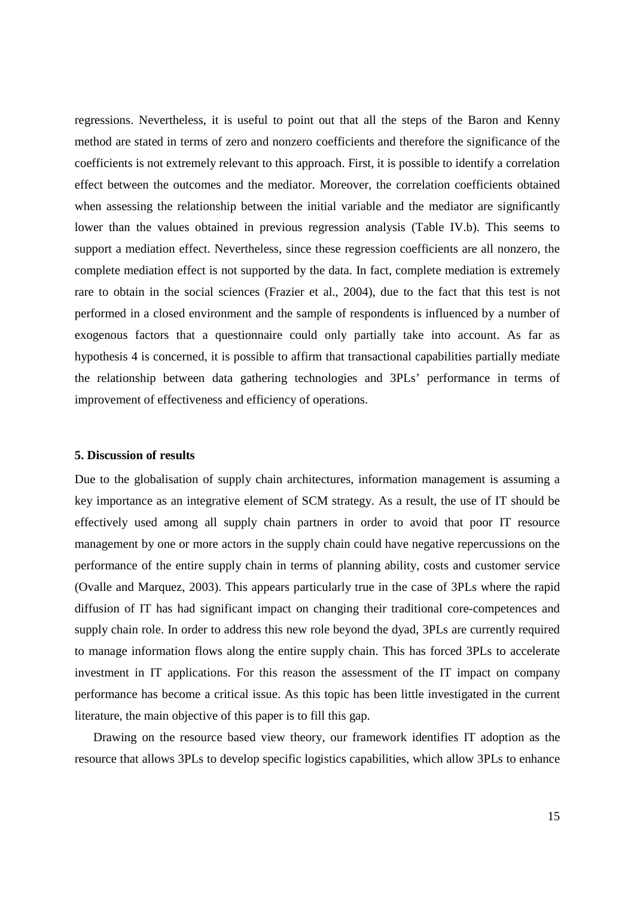regressions. Nevertheless, it is useful to point out that all the steps of the Baron and Kenny method are stated in terms of zero and nonzero coefficients and therefore the significance of the coefficients is not extremely relevant to this approach. First, it is possible to identify a correlation effect between the outcomes and the mediator. Moreover, the correlation coefficients obtained when assessing the relationship between the initial variable and the mediator are significantly lower than the values obtained in previous regression analysis (Table IV.b). This seems to support a mediation effect. Nevertheless, since these regression coefficients are all nonzero, the complete mediation effect is not supported by the data. In fact, complete mediation is extremely rare to obtain in the social sciences (Frazier et al., 2004), due to the fact that this test is not performed in a closed environment and the sample of respondents is influenced by a number of exogenous factors that a questionnaire could only partially take into account. As far as hypothesis 4 is concerned, it is possible to affirm that transactional capabilities partially mediate the relationship between data gathering technologies and 3PLs' performance in terms of improvement of effectiveness and efficiency of operations.

#### **5. Discussion of results**

Due to the globalisation of supply chain architectures, information management is assuming a key importance as an integrative element of SCM strategy. As a result, the use of IT should be effectively used among all supply chain partners in order to avoid that poor IT resource management by one or more actors in the supply chain could have negative repercussions on the performance of the entire supply chain in terms of planning ability, costs and customer service (Ovalle and Marquez, 2003). This appears particularly true in the case of 3PLs where the rapid diffusion of IT has had significant impact on changing their traditional core-competences and supply chain role. In order to address this new role beyond the dyad, 3PLs are currently required to manage information flows along the entire supply chain. This has forced 3PLs to accelerate investment in IT applications. For this reason the assessment of the IT impact on company performance has become a critical issue. As this topic has been little investigated in the current literature, the main objective of this paper is to fill this gap.

Drawing on the resource based view theory, our framework identifies IT adoption as the resource that allows 3PLs to develop specific logistics capabilities, which allow 3PLs to enhance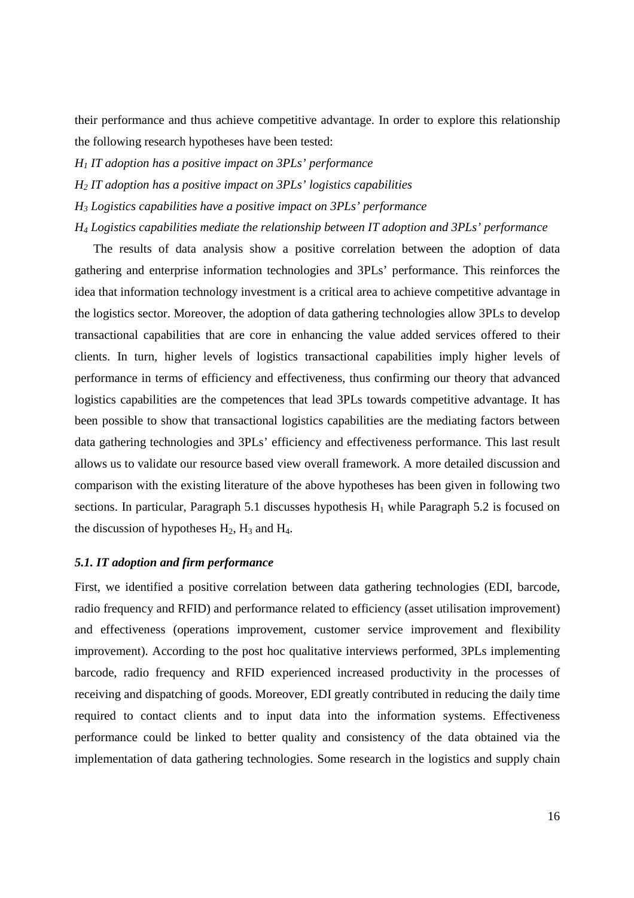their performance and thus achieve competitive advantage. In order to explore this relationship the following research hypotheses have been tested:

- *H1 IT adoption has a positive impact on 3PLs' performance*
- *H2 IT adoption has a positive impact on 3PLs' logistics capabilities*
- *H3 Logistics capabilities have a positive impact on 3PLs' performance*

*H4 Logistics capabilities mediate the relationship between IT adoption and 3PLs' performance* 

The results of data analysis show a positive correlation between the adoption of data gathering and enterprise information technologies and 3PLs' performance. This reinforces the idea that information technology investment is a critical area to achieve competitive advantage in the logistics sector. Moreover, the adoption of data gathering technologies allow 3PLs to develop transactional capabilities that are core in enhancing the value added services offered to their clients. In turn, higher levels of logistics transactional capabilities imply higher levels of performance in terms of efficiency and effectiveness, thus confirming our theory that advanced logistics capabilities are the competences that lead 3PLs towards competitive advantage. It has been possible to show that transactional logistics capabilities are the mediating factors between data gathering technologies and 3PLs' efficiency and effectiveness performance. This last result allows us to validate our resource based view overall framework. A more detailed discussion and comparison with the existing literature of the above hypotheses has been given in following two sections. In particular, Paragraph 5.1 discusses hypothesis  $H_1$  while Paragraph 5.2 is focused on the discussion of hypotheses  $H_2$ ,  $H_3$  and  $H_4$ .

## *5.1. IT adoption and firm performance*

First, we identified a positive correlation between data gathering technologies (EDI, barcode, radio frequency and RFID) and performance related to efficiency (asset utilisation improvement) and effectiveness (operations improvement, customer service improvement and flexibility improvement). According to the post hoc qualitative interviews performed, 3PLs implementing barcode, radio frequency and RFID experienced increased productivity in the processes of receiving and dispatching of goods. Moreover, EDI greatly contributed in reducing the daily time required to contact clients and to input data into the information systems. Effectiveness performance could be linked to better quality and consistency of the data obtained via the implementation of data gathering technologies. Some research in the logistics and supply chain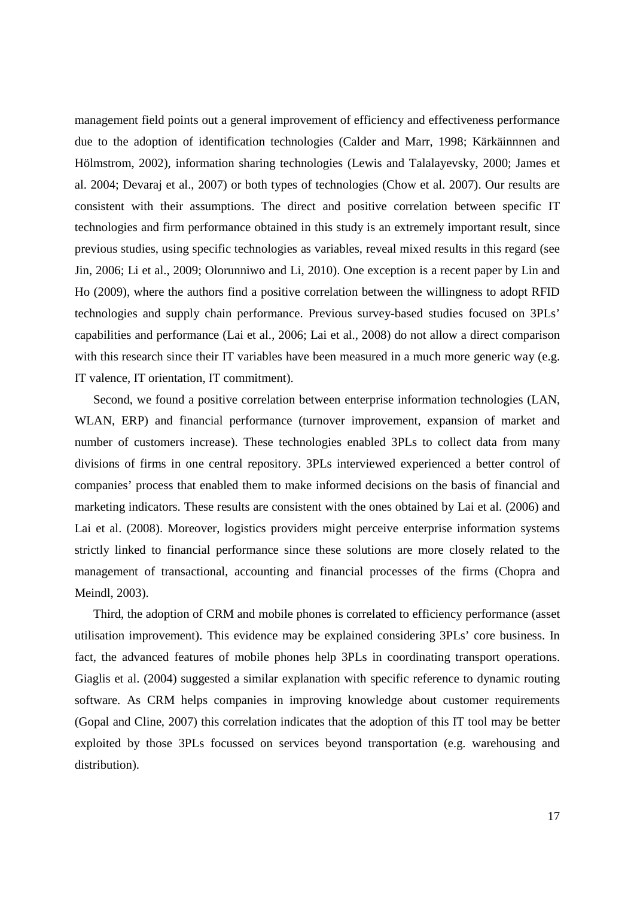management field points out a general improvement of efficiency and effectiveness performance due to the adoption of identification technologies (Calder and Marr, 1998; Kärkäinnnen and Hölmstrom, 2002), information sharing technologies (Lewis and Talalayevsky, 2000; James et al. 2004; Devaraj et al., 2007) or both types of technologies (Chow et al. 2007). Our results are consistent with their assumptions. The direct and positive correlation between specific IT technologies and firm performance obtained in this study is an extremely important result, since previous studies, using specific technologies as variables, reveal mixed results in this regard (see Jin, 2006; Li et al., 2009; Olorunniwo and Li, 2010). One exception is a recent paper by Lin and Ho (2009), where the authors find a positive correlation between the willingness to adopt RFID technologies and supply chain performance. Previous survey-based studies focused on 3PLs' capabilities and performance (Lai et al., 2006; Lai et al., 2008) do not allow a direct comparison with this research since their IT variables have been measured in a much more generic way (e.g. IT valence, IT orientation, IT commitment).

Second, we found a positive correlation between enterprise information technologies (LAN, WLAN, ERP) and financial performance (turnover improvement, expansion of market and number of customers increase). These technologies enabled 3PLs to collect data from many divisions of firms in one central repository. 3PLs interviewed experienced a better control of companies' process that enabled them to make informed decisions on the basis of financial and marketing indicators. These results are consistent with the ones obtained by Lai et al. (2006) and Lai et al. (2008). Moreover, logistics providers might perceive enterprise information systems strictly linked to financial performance since these solutions are more closely related to the management of transactional, accounting and financial processes of the firms (Chopra and Meindl, 2003).

Third, the adoption of CRM and mobile phones is correlated to efficiency performance (asset utilisation improvement). This evidence may be explained considering 3PLs' core business. In fact, the advanced features of mobile phones help 3PLs in coordinating transport operations. Giaglis et al. (2004) suggested a similar explanation with specific reference to dynamic routing software. As CRM helps companies in improving knowledge about customer requirements (Gopal and Cline, 2007) this correlation indicates that the adoption of this IT tool may be better exploited by those 3PLs focussed on services beyond transportation (e.g. warehousing and distribution).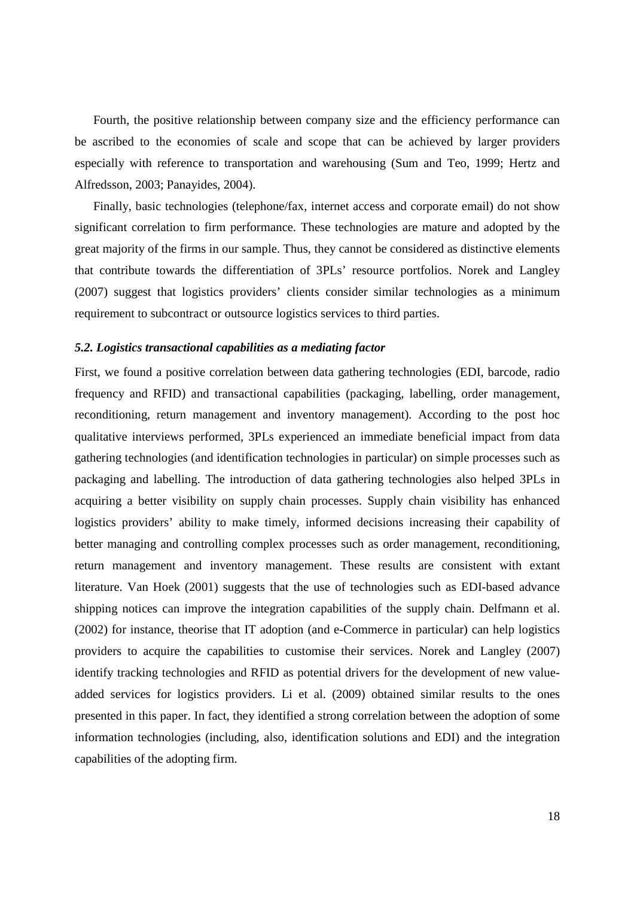Fourth, the positive relationship between company size and the efficiency performance can be ascribed to the economies of scale and scope that can be achieved by larger providers especially with reference to transportation and warehousing (Sum and Teo, 1999; Hertz and Alfredsson, 2003; Panayides, 2004).

Finally, basic technologies (telephone/fax, internet access and corporate email) do not show significant correlation to firm performance. These technologies are mature and adopted by the great majority of the firms in our sample. Thus, they cannot be considered as distinctive elements that contribute towards the differentiation of 3PLs' resource portfolios. Norek and Langley (2007) suggest that logistics providers' clients consider similar technologies as a minimum requirement to subcontract or outsource logistics services to third parties.

## *5.2. Logistics transactional capabilities as a mediating factor*

First, we found a positive correlation between data gathering technologies (EDI, barcode, radio frequency and RFID) and transactional capabilities (packaging, labelling, order management, reconditioning, return management and inventory management). According to the post hoc qualitative interviews performed, 3PLs experienced an immediate beneficial impact from data gathering technologies (and identification technologies in particular) on simple processes such as packaging and labelling. The introduction of data gathering technologies also helped 3PLs in acquiring a better visibility on supply chain processes. Supply chain visibility has enhanced logistics providers' ability to make timely, informed decisions increasing their capability of better managing and controlling complex processes such as order management, reconditioning, return management and inventory management. These results are consistent with extant literature. Van Hoek (2001) suggests that the use of technologies such as EDI-based advance shipping notices can improve the integration capabilities of the supply chain. Delfmann et al. (2002) for instance, theorise that IT adoption (and e-Commerce in particular) can help logistics providers to acquire the capabilities to customise their services. Norek and Langley (2007) identify tracking technologies and RFID as potential drivers for the development of new valueadded services for logistics providers. Li et al. (2009) obtained similar results to the ones presented in this paper. In fact, they identified a strong correlation between the adoption of some information technologies (including, also, identification solutions and EDI) and the integration capabilities of the adopting firm.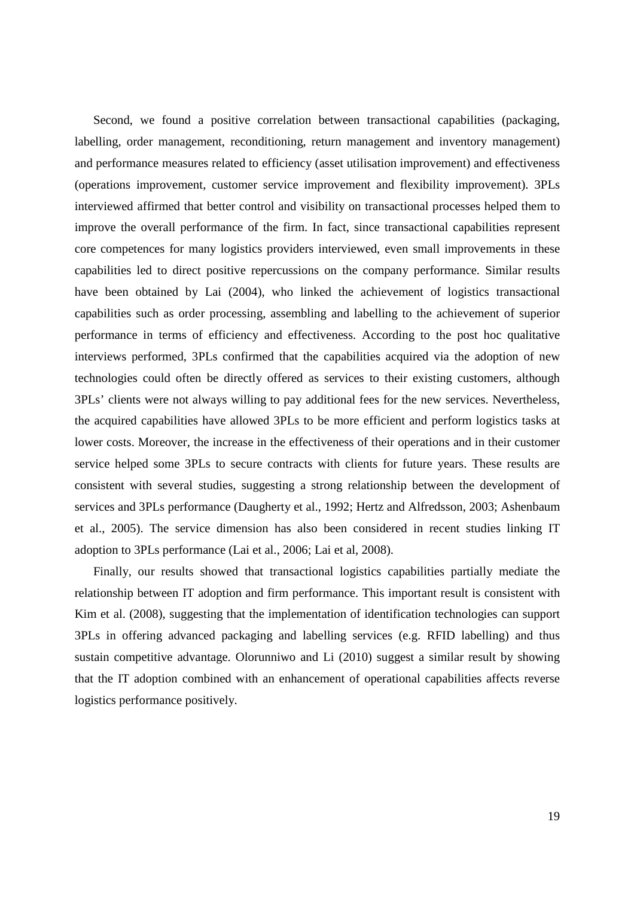Second, we found a positive correlation between transactional capabilities (packaging, labelling, order management, reconditioning, return management and inventory management) and performance measures related to efficiency (asset utilisation improvement) and effectiveness (operations improvement, customer service improvement and flexibility improvement). 3PLs interviewed affirmed that better control and visibility on transactional processes helped them to improve the overall performance of the firm. In fact, since transactional capabilities represent core competences for many logistics providers interviewed, even small improvements in these capabilities led to direct positive repercussions on the company performance. Similar results have been obtained by Lai (2004), who linked the achievement of logistics transactional capabilities such as order processing, assembling and labelling to the achievement of superior performance in terms of efficiency and effectiveness. According to the post hoc qualitative interviews performed, 3PLs confirmed that the capabilities acquired via the adoption of new technologies could often be directly offered as services to their existing customers, although 3PLs' clients were not always willing to pay additional fees for the new services. Nevertheless, the acquired capabilities have allowed 3PLs to be more efficient and perform logistics tasks at lower costs. Moreover, the increase in the effectiveness of their operations and in their customer service helped some 3PLs to secure contracts with clients for future years. These results are consistent with several studies, suggesting a strong relationship between the development of services and 3PLs performance (Daugherty et al., 1992; Hertz and Alfredsson, 2003; Ashenbaum et al., 2005). The service dimension has also been considered in recent studies linking IT adoption to 3PLs performance (Lai et al., 2006; Lai et al, 2008).

Finally, our results showed that transactional logistics capabilities partially mediate the relationship between IT adoption and firm performance. This important result is consistent with Kim et al. (2008), suggesting that the implementation of identification technologies can support 3PLs in offering advanced packaging and labelling services (e.g. RFID labelling) and thus sustain competitive advantage. Olorunniwo and Li (2010) suggest a similar result by showing that the IT adoption combined with an enhancement of operational capabilities affects reverse logistics performance positively.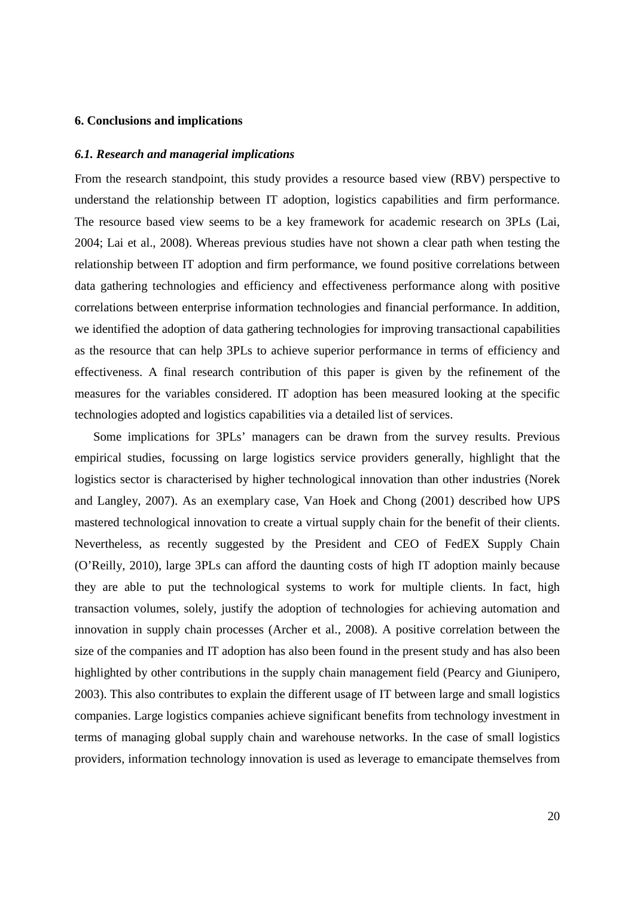#### **6. Conclusions and implications**

#### *6.1. Research and managerial implications*

From the research standpoint, this study provides a resource based view (RBV) perspective to understand the relationship between IT adoption, logistics capabilities and firm performance. The resource based view seems to be a key framework for academic research on 3PLs (Lai, 2004; Lai et al., 2008). Whereas previous studies have not shown a clear path when testing the relationship between IT adoption and firm performance, we found positive correlations between data gathering technologies and efficiency and effectiveness performance along with positive correlations between enterprise information technologies and financial performance. In addition, we identified the adoption of data gathering technologies for improving transactional capabilities as the resource that can help 3PLs to achieve superior performance in terms of efficiency and effectiveness. A final research contribution of this paper is given by the refinement of the measures for the variables considered. IT adoption has been measured looking at the specific technologies adopted and logistics capabilities via a detailed list of services.

Some implications for 3PLs' managers can be drawn from the survey results. Previous empirical studies, focussing on large logistics service providers generally, highlight that the logistics sector is characterised by higher technological innovation than other industries (Norek and Langley, 2007). As an exemplary case, Van Hoek and Chong (2001) described how UPS mastered technological innovation to create a virtual supply chain for the benefit of their clients. Nevertheless, as recently suggested by the President and CEO of FedEX Supply Chain (O'Reilly, 2010), large 3PLs can afford the daunting costs of high IT adoption mainly because they are able to put the technological systems to work for multiple clients. In fact, high transaction volumes, solely, justify the adoption of technologies for achieving automation and innovation in supply chain processes (Archer et al., 2008). A positive correlation between the size of the companies and IT adoption has also been found in the present study and has also been highlighted by other contributions in the supply chain management field (Pearcy and Giunipero, 2003). This also contributes to explain the different usage of IT between large and small logistics companies. Large logistics companies achieve significant benefits from technology investment in terms of managing global supply chain and warehouse networks. In the case of small logistics providers, information technology innovation is used as leverage to emancipate themselves from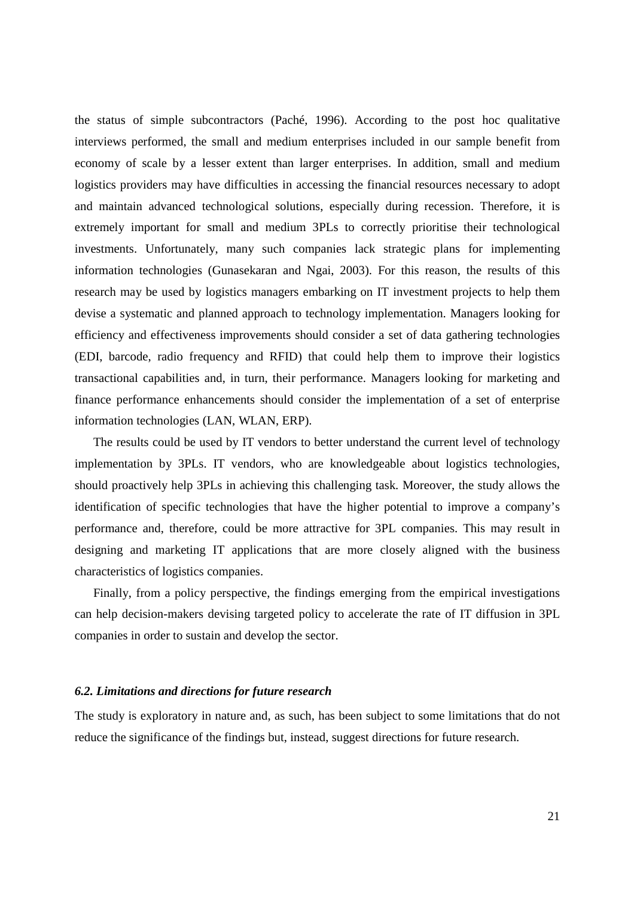the status of simple subcontractors (Paché, 1996). According to the post hoc qualitative interviews performed, the small and medium enterprises included in our sample benefit from economy of scale by a lesser extent than larger enterprises. In addition, small and medium logistics providers may have difficulties in accessing the financial resources necessary to adopt and maintain advanced technological solutions, especially during recession. Therefore, it is extremely important for small and medium 3PLs to correctly prioritise their technological investments. Unfortunately, many such companies lack strategic plans for implementing information technologies (Gunasekaran and Ngai, 2003). For this reason, the results of this research may be used by logistics managers embarking on IT investment projects to help them devise a systematic and planned approach to technology implementation. Managers looking for efficiency and effectiveness improvements should consider a set of data gathering technologies (EDI, barcode, radio frequency and RFID) that could help them to improve their logistics transactional capabilities and, in turn, their performance. Managers looking for marketing and finance performance enhancements should consider the implementation of a set of enterprise information technologies (LAN, WLAN, ERP).

The results could be used by IT vendors to better understand the current level of technology implementation by 3PLs. IT vendors, who are knowledgeable about logistics technologies, should proactively help 3PLs in achieving this challenging task. Moreover, the study allows the identification of specific technologies that have the higher potential to improve a company's performance and, therefore, could be more attractive for 3PL companies. This may result in designing and marketing IT applications that are more closely aligned with the business characteristics of logistics companies.

Finally, from a policy perspective, the findings emerging from the empirical investigations can help decision-makers devising targeted policy to accelerate the rate of IT diffusion in 3PL companies in order to sustain and develop the sector.

#### *6.2. Limitations and directions for future research*

The study is exploratory in nature and, as such, has been subject to some limitations that do not reduce the significance of the findings but, instead, suggest directions for future research.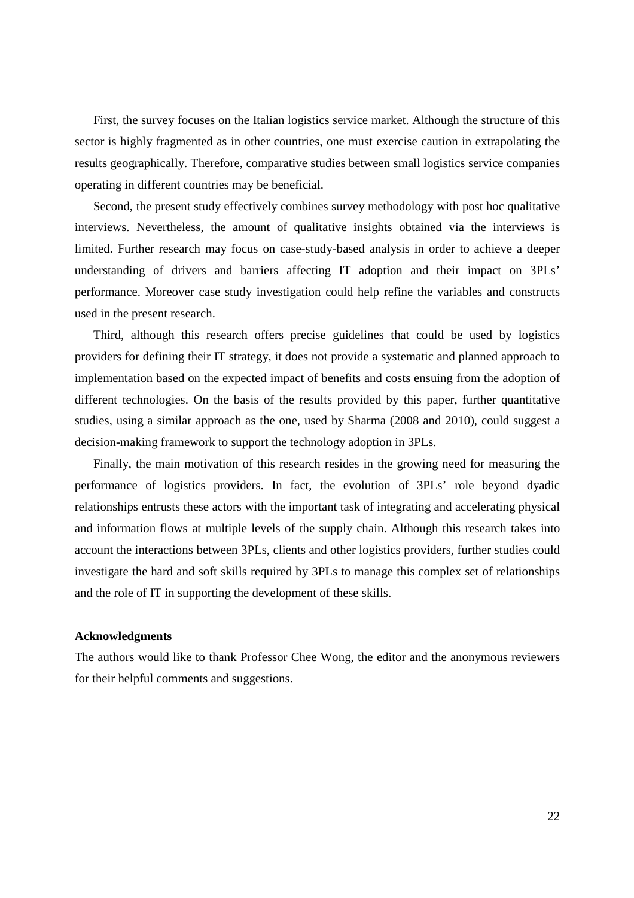First, the survey focuses on the Italian logistics service market. Although the structure of this sector is highly fragmented as in other countries, one must exercise caution in extrapolating the results geographically. Therefore, comparative studies between small logistics service companies operating in different countries may be beneficial.

Second, the present study effectively combines survey methodology with post hoc qualitative interviews. Nevertheless, the amount of qualitative insights obtained via the interviews is limited. Further research may focus on case-study-based analysis in order to achieve a deeper understanding of drivers and barriers affecting IT adoption and their impact on 3PLs' performance. Moreover case study investigation could help refine the variables and constructs used in the present research.

Third, although this research offers precise guidelines that could be used by logistics providers for defining their IT strategy, it does not provide a systematic and planned approach to implementation based on the expected impact of benefits and costs ensuing from the adoption of different technologies. On the basis of the results provided by this paper, further quantitative studies, using a similar approach as the one, used by Sharma (2008 and 2010), could suggest a decision-making framework to support the technology adoption in 3PLs.

Finally, the main motivation of this research resides in the growing need for measuring the performance of logistics providers. In fact, the evolution of 3PLs' role beyond dyadic relationships entrusts these actors with the important task of integrating and accelerating physical and information flows at multiple levels of the supply chain. Although this research takes into account the interactions between 3PLs, clients and other logistics providers, further studies could investigate the hard and soft skills required by 3PLs to manage this complex set of relationships and the role of IT in supporting the development of these skills.

#### **Acknowledgments**

The authors would like to thank Professor Chee Wong, the editor and the anonymous reviewers for their helpful comments and suggestions.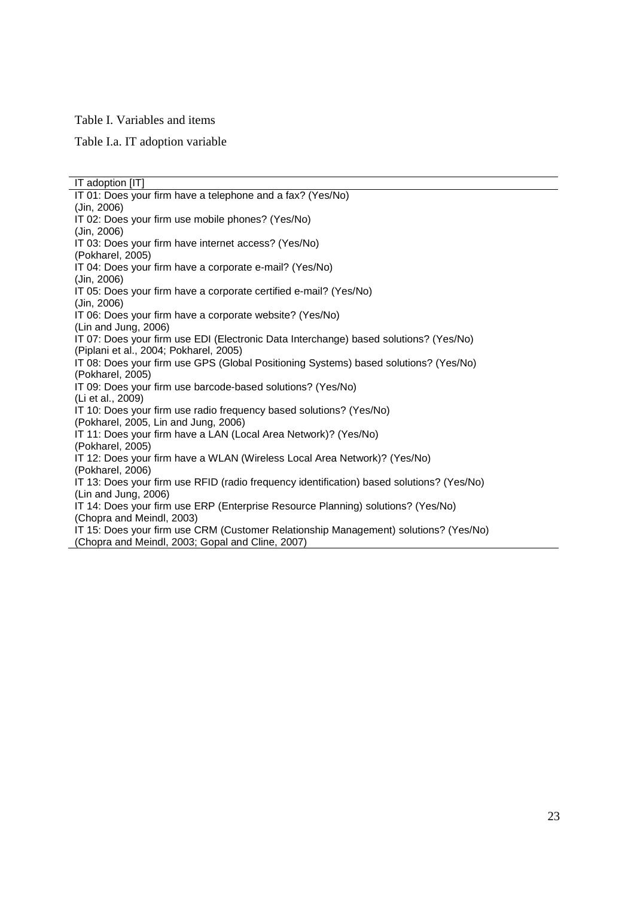#### Table I. Variables and items

Table I.a. IT adoption variable

IT adoption [IT] IT 01: Does your firm have a telephone and a fax? (Yes/No) (Jin, 2006) IT 02: Does your firm use mobile phones? (Yes/No) (Jin, 2006) IT 03: Does your firm have internet access? (Yes/No) (Pokharel, 2005) IT 04: Does your firm have a corporate e-mail? (Yes/No) (Jin, 2006) IT 05: Does your firm have a corporate certified e-mail? (Yes/No) (Jin, 2006) IT 06: Does your firm have a corporate website? (Yes/No) (Lin and Jung, 2006) IT 07: Does your firm use EDI (Electronic Data Interchange) based solutions? (Yes/No) (Piplani et al., 2004; Pokharel, 2005) IT 08: Does your firm use GPS (Global Positioning Systems) based solutions? (Yes/No) (Pokharel, 2005) IT 09: Does your firm use barcode-based solutions? (Yes/No) (Li et al., 2009) IT 10: Does your firm use radio frequency based solutions? (Yes/No) (Pokharel, 2005, Lin and Jung, 2006) IT 11: Does your firm have a LAN (Local Area Network)? (Yes/No) (Pokharel, 2005) IT 12: Does your firm have a WLAN (Wireless Local Area Network)? (Yes/No) (Pokharel, 2006) IT 13: Does your firm use RFID (radio frequency identification) based solutions? (Yes/No) (Lin and Jung, 2006) IT 14: Does your firm use ERP (Enterprise Resource Planning) solutions? (Yes/No) (Chopra and Meindl, 2003) IT 15: Does your firm use CRM (Customer Relationship Management) solutions? (Yes/No) (Chopra and Meindl, 2003; Gopal and Cline, 2007)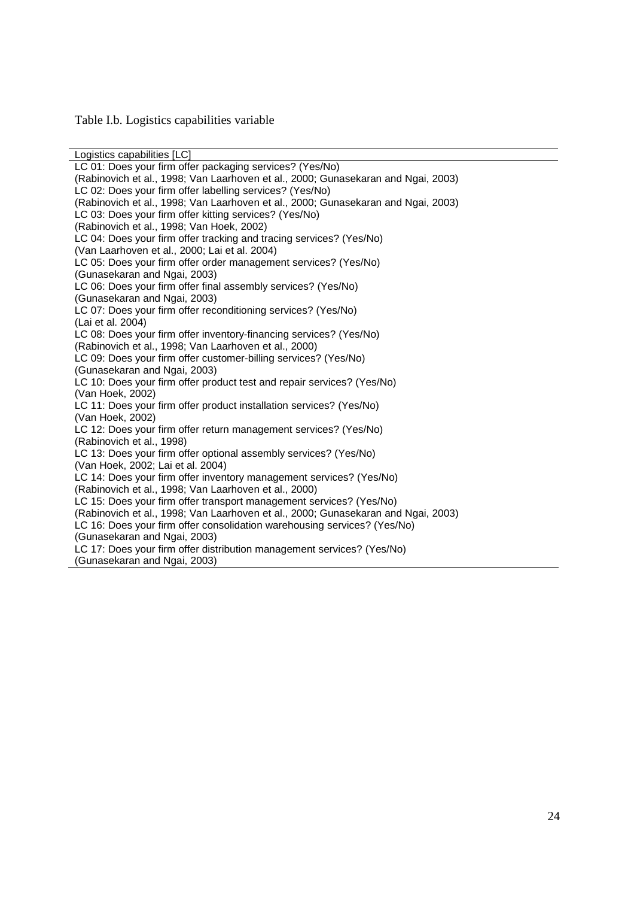Table I.b. Logistics capabilities variable

Logistics capabilities [LC] LC 01: Does your firm offer packaging services? (Yes/No) (Rabinovich et al., 1998; Van Laarhoven et al., 2000; Gunasekaran and Ngai, 2003) LC 02: Does your firm offer labelling services? (Yes/No) (Rabinovich et al., 1998; Van Laarhoven et al., 2000; Gunasekaran and Ngai, 2003) LC 03: Does your firm offer kitting services? (Yes/No) (Rabinovich et al., 1998; Van Hoek, 2002) LC 04: Does your firm offer tracking and tracing services? (Yes/No) (Van Laarhoven et al., 2000; Lai et al. 2004) LC 05: Does your firm offer order management services? (Yes/No) (Gunasekaran and Ngai, 2003) LC 06: Does your firm offer final assembly services? (Yes/No) (Gunasekaran and Ngai, 2003) LC 07: Does your firm offer reconditioning services? (Yes/No) (Lai et al. 2004) LC 08: Does your firm offer inventory-financing services? (Yes/No) (Rabinovich et al., 1998; Van Laarhoven et al., 2000) LC 09: Does your firm offer customer-billing services? (Yes/No) (Gunasekaran and Ngai, 2003) LC 10: Does your firm offer product test and repair services? (Yes/No) (Van Hoek, 2002) LC 11: Does your firm offer product installation services? (Yes/No) (Van Hoek, 2002) LC 12: Does your firm offer return management services? (Yes/No) (Rabinovich et al., 1998) LC 13: Does your firm offer optional assembly services? (Yes/No) (Van Hoek, 2002; Lai et al. 2004) LC 14: Does your firm offer inventory management services? (Yes/No) (Rabinovich et al., 1998; Van Laarhoven et al., 2000) LC 15: Does your firm offer transport management services? (Yes/No) (Rabinovich et al., 1998; Van Laarhoven et al., 2000; Gunasekaran and Ngai, 2003) LC 16: Does your firm offer consolidation warehousing services? (Yes/No) (Gunasekaran and Ngai, 2003) LC 17: Does your firm offer distribution management services? (Yes/No) (Gunasekaran and Ngai, 2003)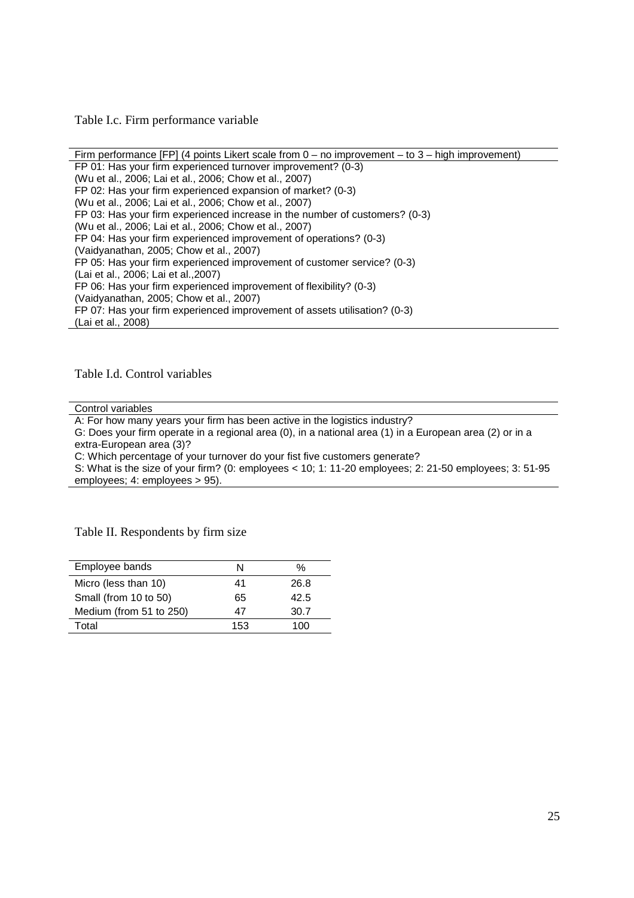Table I.c. Firm performance variable

Firm performance [FP] (4 points Likert scale from 0 – no improvement – to 3 – high improvement) FP 01: Has your firm experienced turnover improvement? (0-3) (Wu et al., 2006; Lai et al., 2006; Chow et al., 2007) FP 02: Has your firm experienced expansion of market? (0-3) (Wu et al., 2006; Lai et al., 2006; Chow et al., 2007) FP 03: Has your firm experienced increase in the number of customers? (0-3) (Wu et al., 2006; Lai et al., 2006; Chow et al., 2007) FP 04: Has your firm experienced improvement of operations? (0-3) (Vaidyanathan, 2005; Chow et al., 2007) FP 05: Has your firm experienced improvement of customer service? (0-3) (Lai et al., 2006; Lai et al.,2007) FP 06: Has your firm experienced improvement of flexibility? (0-3) (Vaidyanathan, 2005; Chow et al., 2007) FP 07: Has your firm experienced improvement of assets utilisation? (0-3) (Lai et al., 2008)

Table I.d. Control variables

Control variables

A: For how many years your firm has been active in the logistics industry? G: Does your firm operate in a regional area (0), in a national area (1) in a European area (2) or in a extra-European area (3)? C: Which percentage of your turnover do your fist five customers generate? S: What is the size of your firm? (0: employees < 10; 1: 11-20 employees; 2: 21-50 employees; 3: 51-95 employees; 4: employees > 95).

Table II. Respondents by firm size

| Employee bands          | N   | %    |
|-------------------------|-----|------|
| Micro (less than 10)    | 41  | 26.8 |
| Small (from 10 to 50)   | 65  | 42.5 |
| Medium (from 51 to 250) | 47  | 30.7 |
| Total                   | 153 | 100  |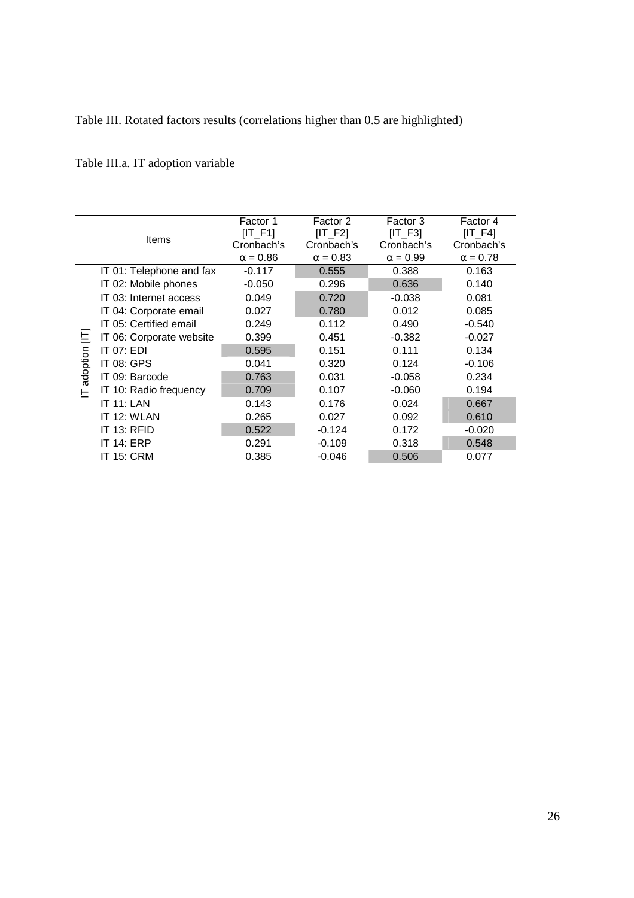Table III. Rotated factors results (correlations higher than 0.5 are highlighted)

Table III.a. IT adoption variable

|          |                          | Factor 1<br>$[IT_F1]$ | Factor 2<br>$[IT_F2]$ | Factor 3<br>$[IT_F3]$ | Factor 4<br>$[IT_F4]$ |
|----------|--------------------------|-----------------------|-----------------------|-----------------------|-----------------------|
|          | Items                    | Cronbach's            | Cronbach's            | Cronbach's            | Cronbach's            |
|          |                          | $\alpha = 0.86$       | $\alpha = 0.83$       | $\alpha = 0.99$       | $\alpha = 0.78$       |
|          | IT 01: Telephone and fax | $-0.117$              | 0.555                 | 0.388                 | 0.163                 |
|          | IT 02: Mobile phones     | $-0.050$              | 0.296                 | 0.636                 | 0.140                 |
|          | IT 03: Internet access   | 0.049                 | 0.720                 | $-0.038$              | 0.081                 |
|          | IT 04: Corporate email   | 0.027                 | 0.780                 | 0.012                 | 0.085                 |
|          | IT 05: Certified email   | 0.249                 | 0.112                 | 0.490                 | $-0.540$              |
| 브        | IT 06: Corporate website | 0.399                 | 0.451                 | $-0.382$              | $-0.027$              |
|          | IT $07:$ EDI             | 0.595                 | 0.151                 | 0.111                 | 0.134                 |
| adoption | <b>IT 08: GPS</b>        | 0.041                 | 0.320                 | 0.124                 | $-0.106$              |
|          | IT 09: Barcode           | 0.763                 | 0.031                 | $-0.058$              | 0.234                 |
| ⊢        | IT 10: Radio frequency   | 0.709                 | 0.107                 | $-0.060$              | 0.194                 |
|          | <b>IT 11: LAN</b>        | 0.143                 | 0.176                 | 0.024                 | 0.667                 |
|          | IT 12: WLAN              | 0.265                 | 0.027                 | 0.092                 | 0.610                 |
|          | IT 13: RFID              | 0.522                 | $-0.124$              | 0.172                 | $-0.020$              |
|          | <b>IT 14: ERP</b>        | 0.291                 | $-0.109$              | 0.318                 | 0.548                 |
|          | <b>IT 15: CRM</b>        | 0.385                 | $-0.046$              | 0.506                 | 0.077                 |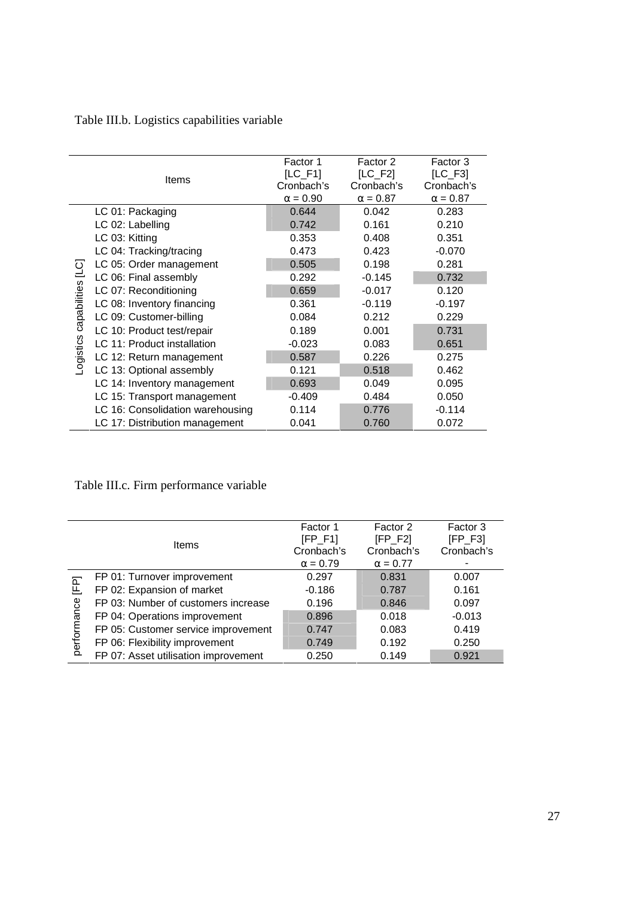Table III.b. Logistics capabilities variable

|                                      | Items                            | Factor 1<br>$[LC_F1]$<br>Cronbach's<br>$\alpha = 0.90$ | Factor 2<br>$[LC_F2]$<br>Cronbach's<br>$\alpha = 0.87$ | Factor 3<br>$[LC_F3]$<br>Cronbach's<br>$\alpha = 0.87$ |
|--------------------------------------|----------------------------------|--------------------------------------------------------|--------------------------------------------------------|--------------------------------------------------------|
|                                      | LC 01: Packaging                 | 0.644                                                  | 0.042                                                  | 0.283                                                  |
|                                      | LC 02: Labelling                 | 0.742                                                  | 0.161                                                  | 0.210                                                  |
|                                      | LC 03: Kitting                   | 0.353                                                  | 0.408                                                  | 0.351                                                  |
|                                      | LC 04: Tracking/tracing          | 0.473                                                  | 0.423                                                  | $-0.070$                                               |
|                                      | LC 05: Order management          | 0.505                                                  | 0.198                                                  | 0.281                                                  |
| LC <sub>1</sub> settics capabilities | LC 06: Final assembly            | 0.292                                                  | $-0.145$                                               | 0.732                                                  |
|                                      | LC 07: Reconditioning            | 0.659                                                  | $-0.017$                                               | 0.120                                                  |
|                                      | LC 08: Inventory financing       | 0.361                                                  | $-0.119$                                               | $-0.197$                                               |
|                                      | LC 09: Customer-billing          | 0.084                                                  | 0.212                                                  | 0.229                                                  |
|                                      | LC 10: Product test/repair       | 0.189                                                  | 0.001                                                  | 0.731                                                  |
|                                      | LC 11: Product installation      | $-0.023$                                               | 0.083                                                  | 0.651                                                  |
|                                      | LC 12: Return management         | 0.587                                                  | 0.226                                                  | 0.275                                                  |
|                                      | LC 13: Optional assembly         | 0.121                                                  | 0.518                                                  | 0.462                                                  |
|                                      | LC 14: Inventory management      | 0.693                                                  | 0.049                                                  | 0.095                                                  |
|                                      | LC 15: Transport management      | $-0.409$                                               | 0.484                                                  | 0.050                                                  |
|                                      | LC 16: Consolidation warehousing | 0.114                                                  | 0.776                                                  | $-0.114$                                               |
|                                      | LC 17: Distribution management   | 0.041                                                  | 0.760                                                  | 0.072                                                  |

Table III.c. Firm performance variable

|                | <b>Items</b>                         | Factor 1<br>$[FP_F1]$<br>Cronbach's | Factor 2<br>$[FP_F2]$<br>Cronbach's | Factor 3<br>$[FP_F3]$<br>Cronbach's |
|----------------|--------------------------------------|-------------------------------------|-------------------------------------|-------------------------------------|
|                | FP 01: Turnover improvement          | $\alpha = 0.79$<br>0.297            | $\alpha = 0.77$<br>0.831            | 0.007                               |
| E <sub>E</sub> |                                      |                                     |                                     |                                     |
|                | FP 02: Expansion of market           | $-0.186$                            | 0.787                               | 0.161                               |
|                | FP 03: Number of customers increase  | 0.196                               | 0.846                               | 0.097                               |
| performance    | FP 04: Operations improvement        | 0.896                               | 0.018                               | $-0.013$                            |
|                | FP 05: Customer service improvement  | 0.747                               | 0.083                               | 0.419                               |
|                | FP 06: Flexibility improvement       | 0.749                               | 0.192                               | 0.250                               |
|                | FP 07: Asset utilisation improvement | 0.250                               | 0.149                               | 0.921                               |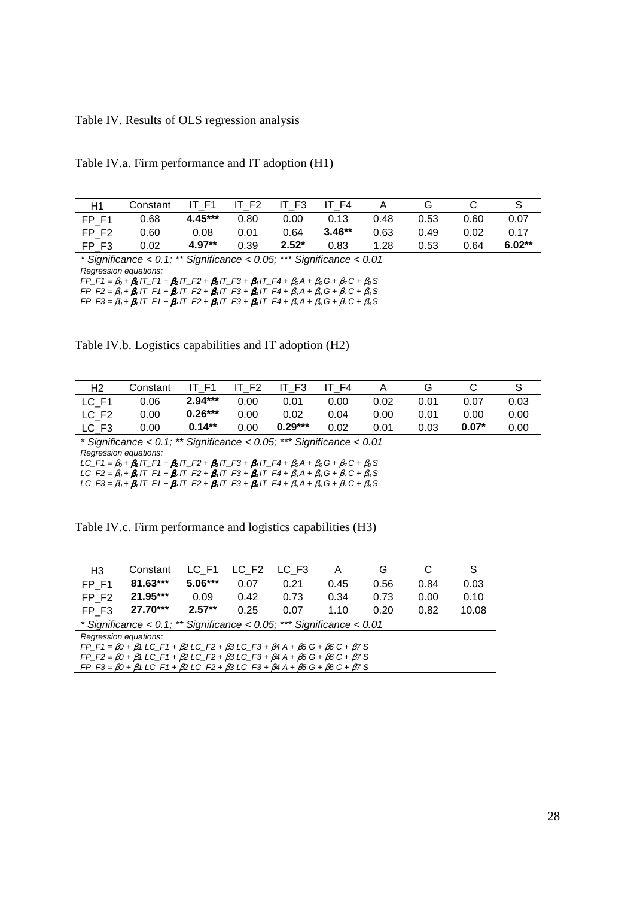# Table IV. Results of OLS regression analysis

| H1                                                                                                                                      | Constant                                                                                                                               | IT F1     | IT F <sub>2</sub> | IT F3   | IT F4    | A    | G    | С    | S        |
|-----------------------------------------------------------------------------------------------------------------------------------------|----------------------------------------------------------------------------------------------------------------------------------------|-----------|-------------------|---------|----------|------|------|------|----------|
| FP F1                                                                                                                                   | 0.68                                                                                                                                   | $4.45***$ | 0.80              | 0.00    | 0.13     | 0.48 | 0.53 | 0.60 | 0.07     |
| FP F <sub>2</sub>                                                                                                                       | 0.60                                                                                                                                   | 0.08      | 0.01              | 0.64    | $3.46**$ | 0.63 | 0.49 | 0.02 | 0.17     |
| FP F3                                                                                                                                   | 0.02                                                                                                                                   | $4.97**$  | 0.39              | $2.52*$ | 0.83     | 1.28 | 0.53 | 0.64 | $6.02**$ |
|                                                                                                                                         | * Significance < $0.1$ ; ** Significance < $0.05$ ; *** Significance < $0.01$                                                          |           |                   |         |          |      |      |      |          |
| Regression equations:                                                                                                                   |                                                                                                                                        |           |                   |         |          |      |      |      |          |
|                                                                                                                                         | $FP\_F1 = \beta_0 + \beta_1 IT\_F1 + \beta_2 IT\_F2 + \beta_3 IT\_F3 + \beta_4 IT\_F4 + \beta_5 A + \beta_6 G + \beta_7 C + \beta_8 S$ |           |                   |         |          |      |      |      |          |
| $FP_{F2} = \beta_0 + \beta_1 T_{F1} + \beta_2 T_{F2} + \beta_3 T_{F3} + \beta_4 T_{F4} + \beta_5 A + \beta_6 G + \beta_7 C + \beta_8 S$ |                                                                                                                                        |           |                   |         |          |      |      |      |          |
| $FP\_F3 = \beta_0 + \beta_1 T\_F1 + \beta_2 T\_F2 + \beta_3 T\_F3 + \beta_4 T\_F4 + \beta_5 A + \beta_6 G + \beta_7 C + \beta_8 S$      |                                                                                                                                        |           |                   |         |          |      |      |      |          |
|                                                                                                                                         |                                                                                                                                        |           |                   |         |          |      |      |      |          |

Table IV.a. Firm performance and IT adoption (H1)

Table IV.b. Logistics capabilities and IT adoption (H2)

| H2                                                                                                                                     | Constant                                                                                                                                             | IT F1     | IT F <sub>2</sub> | IT F3     | IT F4 | Α    | G    | С       | S    |
|----------------------------------------------------------------------------------------------------------------------------------------|------------------------------------------------------------------------------------------------------------------------------------------------------|-----------|-------------------|-----------|-------|------|------|---------|------|
| LC F1                                                                                                                                  | 0.06                                                                                                                                                 | $2.94***$ | 0.00              | 0.01      | 0.00  | 0.02 | 0.01 | 0.07    | 0.03 |
| LC_F2                                                                                                                                  | 0.00                                                                                                                                                 | $0.26***$ | 0.00              | 0.02      | 0.04  | 0.00 | 0.01 | 0.00    | 0.00 |
| LC F <sub>3</sub>                                                                                                                      | 0.00                                                                                                                                                 | $0.14***$ | 0.00              | $0.29***$ | 0.02  | 0.01 | 0.03 | $0.07*$ | 0.00 |
| * Significance < $0.1$ ; ** Significance < $0.05$ ; *** Significance < $0.01$                                                          |                                                                                                                                                      |           |                   |           |       |      |      |         |      |
| Regression equations:                                                                                                                  |                                                                                                                                                      |           |                   |           |       |      |      |         |      |
|                                                                                                                                        | $LC_{-}F1 = \beta_0 + \beta_1 I T_{-}F1 + \beta_2 I T_{-}F2 + \beta_3 I T_{-}F3 + \beta_4 I T_{-}F4 + \beta_5 A + \beta_6 G + \beta_7 C + \beta_8 S$ |           |                   |           |       |      |      |         |      |
| $LC_F^2 = \beta_0 + \beta_1 I^T_F + \beta_2 I^T_F^2 + \beta_3 I^T_F^3 + \beta_4 I^T_F + \beta_5 A + \beta_6 G + \beta_7 C + \beta_8 S$ |                                                                                                                                                      |           |                   |           |       |      |      |         |      |
|                                                                                                                                        | $LC_{-}F3 = \beta_0 + \beta_1 I T_{-}F1 + \beta_2 I T_{-}F2 + \beta_3 I T_{-}F3 + \beta_4 I T_{-}F4 + \beta_5 A + \beta_6 G + \beta_7 C + \beta_8 S$ |           |                   |           |       |      |      |         |      |
|                                                                                                                                        |                                                                                                                                                      |           |                   |           |       |      |      |         |      |

Table IV.c. Firm performance and logistics capabilities (H3)

| H3                                                                            | Constant   | LC F1     | LC F <sub>2</sub> | LC F <sub>3</sub> | A    | G    |      | S     |
|-------------------------------------------------------------------------------|------------|-----------|-------------------|-------------------|------|------|------|-------|
| FP F1                                                                         | $81.63***$ | $5.06***$ | 0.07              | 0.21              | 0.45 | 0.56 | 0.84 | 0.03  |
| FP F <sub>2</sub>                                                             | 21.95***   | 0.09      | 0.42              | 0.73              | 0.34 | 0.73 | 0.00 | 0.10  |
| FP F3                                                                         | $27.70***$ | $2.57**$  | 0.25              | 0.07              | 1.10 | 0.20 | 0.82 | 10.08 |
| * Significance < $0.1$ ; ** Significance < $0.05$ ; *** Significance < $0.01$ |            |           |                   |                   |      |      |      |       |
| Regression equations:                                                         |            |           |                   |                   |      |      |      |       |

FP\_F1 =  $β0 + β1$  LC\_F1 +  $β2$  LC\_F2 +  $β3$  LC\_F3 +  $β4$  A +  $β5$  G +  $β6$  C +  $β7$  S FP\_F2 = β0 + β1 LC\_F1 + β2 LC\_F2 + β3 LC\_F3 + β4 A + β5 G + β6 C + β7 S

FP\_F3 = β0 + β1 LC\_F1 + β2 LC\_F2 + β3 LC\_F3 + β4 A + β5 G + β6 C + β7 S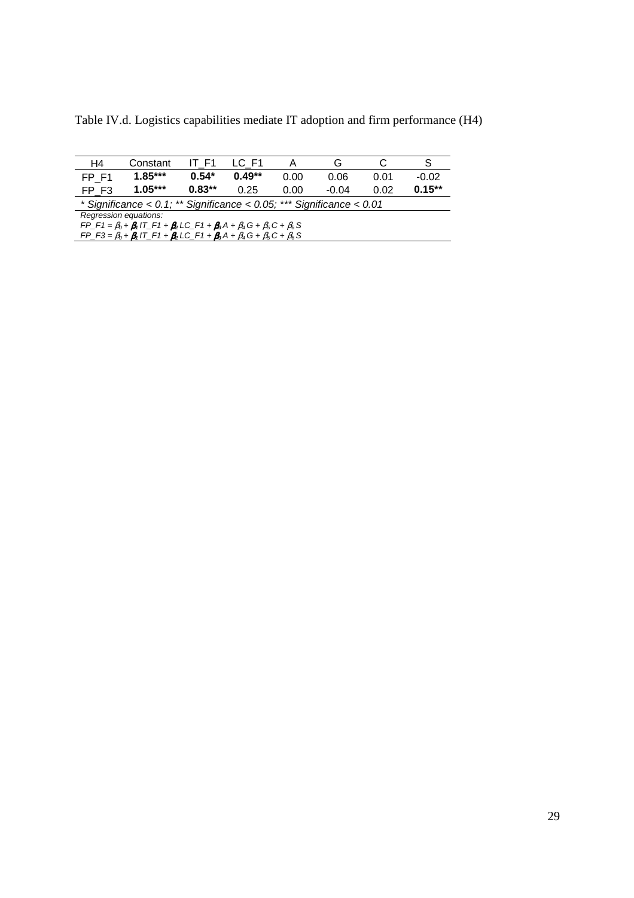Table IV.d. Logistics capabilities mediate IT adoption and firm performance (H4)

| H4                                                                                                         | Constant                                                                      | IT F1    | LC F1    |      | G       |      | S         |  |
|------------------------------------------------------------------------------------------------------------|-------------------------------------------------------------------------------|----------|----------|------|---------|------|-----------|--|
| FP F1                                                                                                      | $1.85***$                                                                     | $0.54*$  | $0.49**$ | 0.00 | 0.06    | 0.01 | $-0.02$   |  |
| FP F3                                                                                                      | $1.05***$                                                                     | $0.83**$ | 0.25     | 0.00 | $-0.04$ | 0.02 | $0.15***$ |  |
|                                                                                                            | * Significance < $0.1$ ; ** Significance < $0.05$ ; *** Significance < $0.01$ |          |          |      |         |      |           |  |
| Regression equations:                                                                                      |                                                                               |          |          |      |         |      |           |  |
| $FP\_F1 = \beta_0 + \beta_1 IT\_F1 + \beta_2 LC\_F1 + \beta_3 A + \beta_4 G + \beta_5 C + \beta_6 S$       |                                                                               |          |          |      |         |      |           |  |
| $FP_{-}F3 = \beta_0 + \beta_1 IT_{-}F1 + \beta_2 LC_{-}F1 + \beta_3 A + \beta_4 G + \beta_5 C + \beta_6 S$ |                                                                               |          |          |      |         |      |           |  |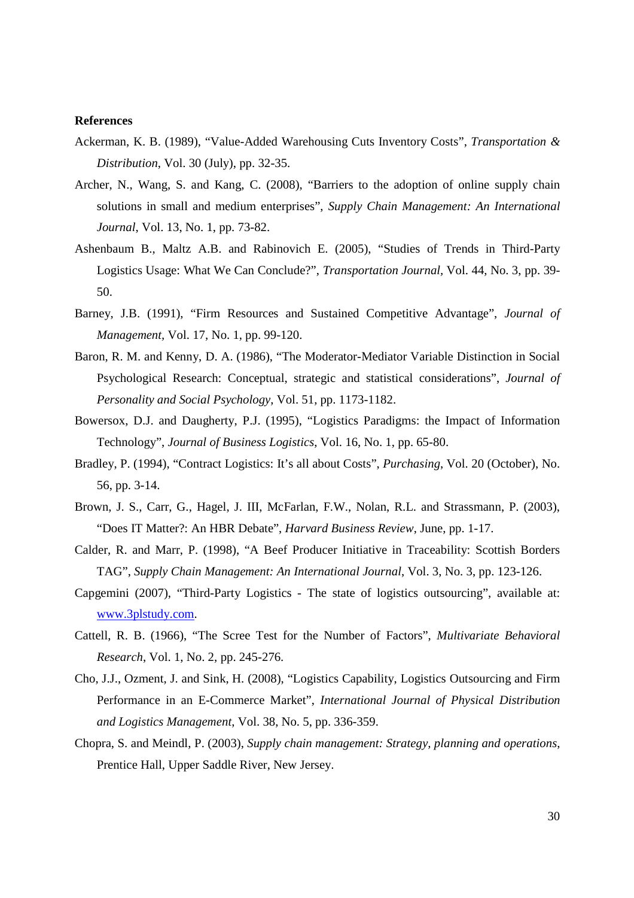## **References**

- Ackerman, K. B. (1989), "Value-Added Warehousing Cuts Inventory Costs", *Transportation & Distribution*, Vol. 30 (July), pp. 32-35.
- Archer, N., Wang, S. and Kang, C. (2008), "Barriers to the adoption of online supply chain solutions in small and medium enterprises", *Supply Chain Management: An International Journal*, Vol. 13, No. 1, pp. 73-82.
- Ashenbaum B., Maltz A.B. and Rabinovich E. (2005), "Studies of Trends in Third-Party Logistics Usage: What We Can Conclude?", *Transportation Journal,* Vol. 44, No. 3, pp. 39- 50.
- Barney, J.B. (1991), "Firm Resources and Sustained Competitive Advantage", *Journal of Management,* Vol. 17, No. 1, pp. 99-120.
- Baron, R. M. and Kenny, D. A. (1986), "The Moderator-Mediator Variable Distinction in Social Psychological Research: Conceptual, strategic and statistical considerations", *Journal of Personality and Social Psychology*, Vol. 51, pp. 1173-1182.
- Bowersox, D.J. and Daugherty, P.J. (1995), "Logistics Paradigms: the Impact of Information Technology", *Journal of Business Logistics*, Vol. 16, No. 1, pp. 65-80.
- Bradley, P. (1994), "Contract Logistics: It's all about Costs", *Purchasing*, Vol. 20 (October), No. 56, pp. 3-14.
- Brown, J. S., Carr, G., Hagel, J. III, McFarlan, F.W., Nolan, R.L. and Strassmann, P. (2003), "Does IT Matter?: An HBR Debate", *Harvard Business Review*, June, pp. 1-17.
- Calder, R. and Marr, P. (1998), "A Beef Producer Initiative in Traceability: Scottish Borders TAG", *Supply Chain Management: An International Journal*, Vol. 3, No. 3, pp. 123-126.
- Capgemini (2007), "Third-Party Logistics The state of logistics outsourcing", available at: www.3plstudy.com.
- Cattell, R. B. (1966), "The Scree Test for the Number of Factors", *Multivariate Behavioral Research*, Vol. 1, No. 2, pp. 245-276.
- Cho, J.J., Ozment, J. and Sink, H. (2008), "Logistics Capability, Logistics Outsourcing and Firm Performance in an E-Commerce Market", *International Journal of Physical Distribution and Logistics Management*, Vol. 38, No. 5, pp. 336-359.
- Chopra, S. and Meindl, P. (2003), *Supply chain management: Strategy, planning and operations*, Prentice Hall, Upper Saddle River, New Jersey.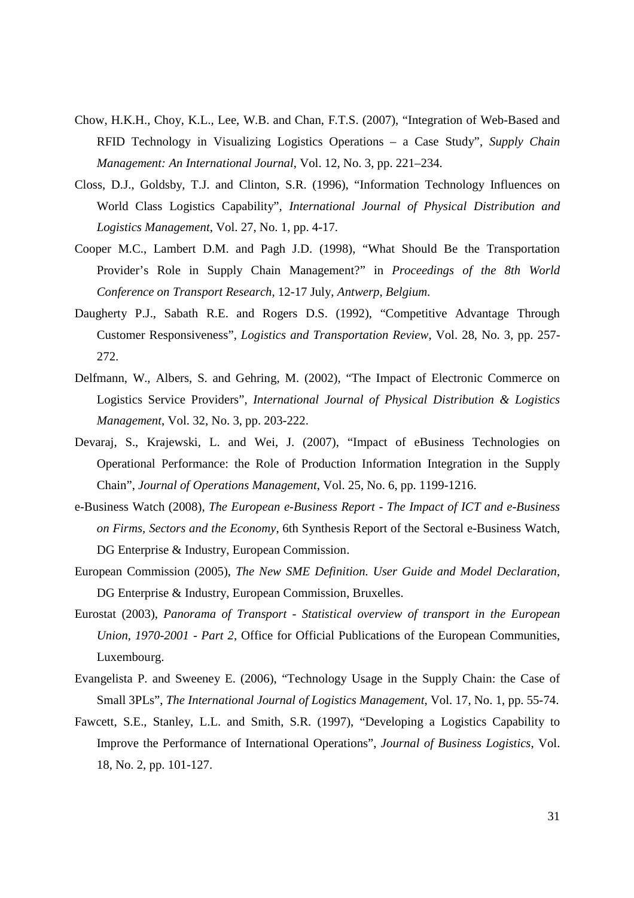- Chow, H.K.H., Choy, K.L., Lee, W.B. and Chan, F.T.S. (2007), "Integration of Web-Based and RFID Technology in Visualizing Logistics Operations – a Case Study", *Supply Chain Management: An International Journal*, Vol. 12, No. 3, pp. 221–234.
- Closs, D.J., Goldsby, T.J. and Clinton, S.R. (1996), "Information Technology Influences on World Class Logistics Capability", *International Journal of Physical Distribution and Logistics Management*, Vol. 27, No. 1, pp. 4-17.
- Cooper M.C., Lambert D.M. and Pagh J.D. (1998), "What Should Be the Transportation Provider's Role in Supply Chain Management?" in *Proceedings of the 8th World Conference on Transport Research*, 12-17 July, *Antwerp*, *Belgium*.
- Daugherty P.J., Sabath R.E. and Rogers D.S. (1992), "Competitive Advantage Through Customer Responsiveness", *Logistics and Transportation Review*, Vol. 28, No. 3, pp. 257- 272.
- Delfmann, W., Albers, S. and Gehring, M. (2002), "The Impact of Electronic Commerce on Logistics Service Providers", *International Journal of Physical Distribution & Logistics Management*, Vol. 32, No. 3, pp. 203-222.
- Devaraj, S., Krajewski, L. and Wei, J. (2007), "Impact of eBusiness Technologies on Operational Performance: the Role of Production Information Integration in the Supply Chain", *Journal of Operations Management*, Vol. 25, No. 6, pp. 1199-1216.
- e-Business Watch (2008), *The European e-Business Report The Impact of ICT and e-Business on Firms, Sectors and the Economy*, 6th Synthesis Report of the Sectoral e-Business Watch, DG Enterprise & Industry, European Commission.
- European Commission (2005), *The New SME Definition. User Guide and Model Declaration*, DG Enterprise & Industry, European Commission, Bruxelles.
- Eurostat (2003), *Panorama of Transport Statistical overview of transport in the European Union, 1970-2001 - Part 2*, Office for Official Publications of the European Communities, Luxembourg.
- Evangelista P. and Sweeney E. (2006), "Technology Usage in the Supply Chain: the Case of Small 3PLs", *The International Journal of Logistics Management*, Vol. 17, No. 1, pp. 55-74.
- Fawcett, S.E., Stanley, L.L. and Smith, S.R. (1997), "Developing a Logistics Capability to Improve the Performance of International Operations", *Journal of Business Logistics*, Vol. 18, No. 2, pp. 101-127.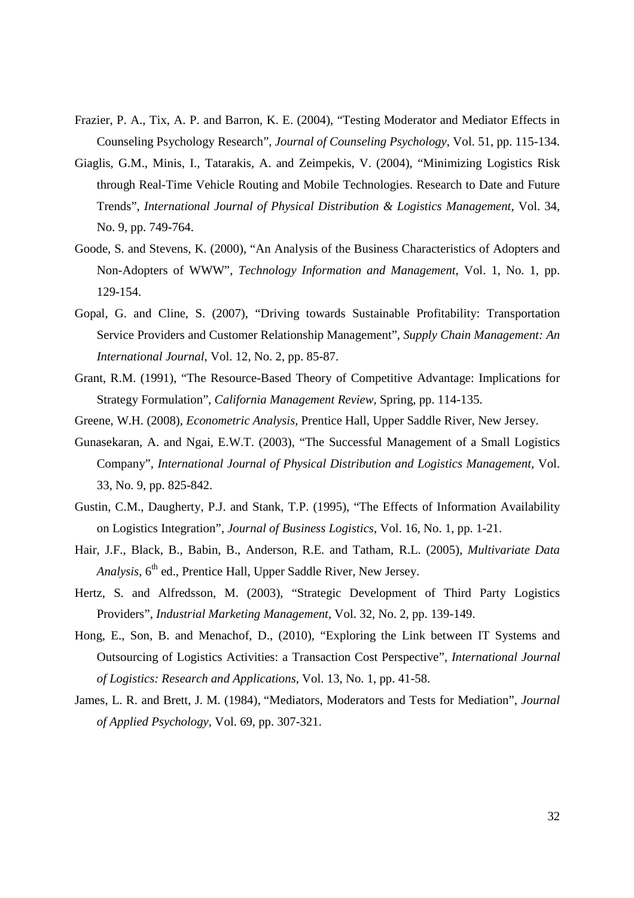- Frazier, P. A., Tix, A. P. and Barron, K. E. (2004), "Testing Moderator and Mediator Effects in Counseling Psychology Research", *Journal of Counseling Psychology*, Vol. 51, pp. 115-134.
- Giaglis, G.M., Minis, I., Tatarakis, A. and Zeimpekis, V. (2004), "Minimizing Logistics Risk through Real-Time Vehicle Routing and Mobile Technologies. Research to Date and Future Trends", *International Journal of Physical Distribution & Logistics Management*, Vol. 34, No. 9, pp. 749-764.
- Goode, S. and Stevens, K. (2000), "An Analysis of the Business Characteristics of Adopters and Non-Adopters of WWW", *Technology Information and Management*, Vol. 1, No. 1, pp. 129-154.
- Gopal, G. and Cline, S. (2007), "Driving towards Sustainable Profitability: Transportation Service Providers and Customer Relationship Management", *Supply Chain Management: An International Journal*, Vol. 12, No. 2, pp. 85-87.
- Grant, R.M. (1991), "The Resource-Based Theory of Competitive Advantage: Implications for Strategy Formulation", *California Management Review*, Spring, pp. 114-135.
- Greene, W.H. (2008), *Econometric Analysis,* Prentice Hall, Upper Saddle River, New Jersey.
- Gunasekaran, A. and Ngai, E.W.T. (2003), "The Successful Management of a Small Logistics Company", *International Journal of Physical Distribution and Logistics Management,* Vol. 33, No. 9, pp. 825-842.
- Gustin, C.M., Daugherty, P.J. and Stank, T.P. (1995), "The Effects of Information Availability on Logistics Integration", *Journal of Business Logistics*, Vol. 16, No. 1, pp. 1-21.
- Hair, J.F., Black, B., Babin, B., Anderson, R.E. and Tatham, R.L. (2005), *Multivariate Data*  Analysis, 6<sup>th</sup> ed., Prentice Hall, Upper Saddle River, New Jersey.
- Hertz, S. and Alfredsson, M. (2003), "Strategic Development of Third Party Logistics Providers", *Industrial Marketing Management*, Vol. 32, No. 2, pp. 139-149.
- Hong, E., Son, B. and Menachof, D., (2010), "Exploring the Link between IT Systems and Outsourcing of Logistics Activities: a Transaction Cost Perspective", *International Journal of Logistics: Research and Applications*, Vol. 13, No. 1, pp. 41-58.
- James, L. R. and Brett, J. M. (1984), "Mediators, Moderators and Tests for Mediation", *Journal of Applied Psychology*, Vol. 69, pp. 307-321.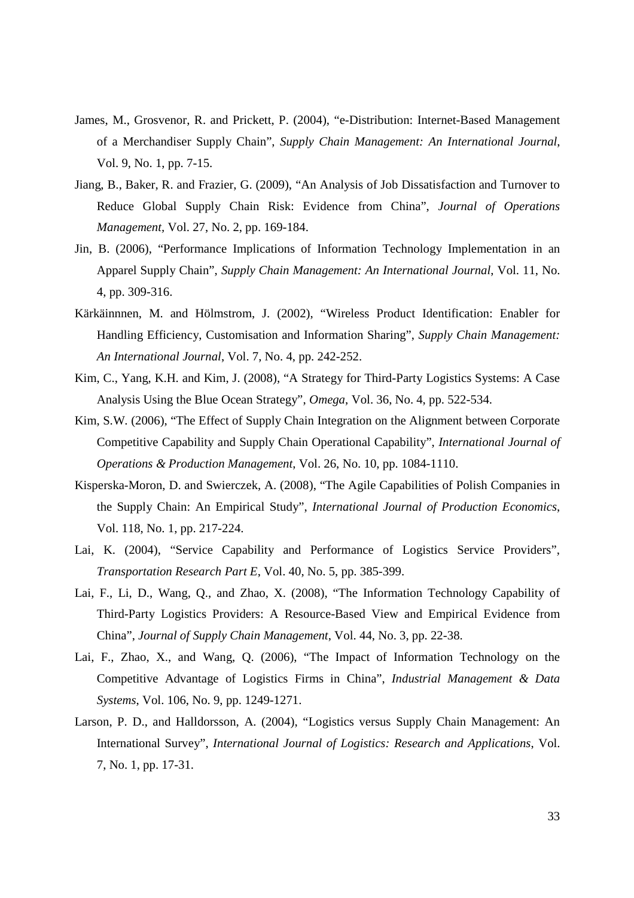- James, M., Grosvenor, R. and Prickett, P. (2004), "e-Distribution: Internet-Based Management of a Merchandiser Supply Chain", *Supply Chain Management: An International Journal*, Vol. 9, No. 1, pp. 7-15.
- Jiang, B., Baker, R. and Frazier, G. (2009), "An Analysis of Job Dissatisfaction and Turnover to Reduce Global Supply Chain Risk: Evidence from China", *Journal of Operations Management,* Vol. 27, No. 2, pp. 169-184.
- Jin, B. (2006), "Performance Implications of Information Technology Implementation in an Apparel Supply Chain", *Supply Chain Management: An International Journal*, Vol. 11, No. 4, pp. 309-316.
- Kärkäinnnen, M. and Hölmstrom, J. (2002), "Wireless Product Identification: Enabler for Handling Efficiency, Customisation and Information Sharing", *Supply Chain Management: An International Journal*, Vol. 7, No. 4, pp. 242-252.
- Kim, C., Yang, K.H. and Kim, J. (2008), "A Strategy for Third-Party Logistics Systems: A Case Analysis Using the Blue Ocean Strategy", *Omega*, Vol. 36, No. 4, pp. 522-534.
- Kim, S.W. (2006), "The Effect of Supply Chain Integration on the Alignment between Corporate Competitive Capability and Supply Chain Operational Capability", *International Journal of Operations & Production Management*, Vol. 26, No. 10, pp. 1084-1110.
- Kisperska-Moron, D. and Swierczek, A. (2008), "The Agile Capabilities of Polish Companies in the Supply Chain: An Empirical Study", *International Journal of Production Economics*, Vol. 118, No. 1, pp. 217-224.
- Lai, K. (2004), "Service Capability and Performance of Logistics Service Providers", *Transportation Research Part E*, Vol. 40, No. 5, pp. 385-399.
- Lai, F., Li, D., Wang, Q., and Zhao, X. (2008), "The Information Technology Capability of Third-Party Logistics Providers: A Resource-Based View and Empirical Evidence from China", *Journal of Supply Chain Management*, Vol. 44, No. 3, pp. 22-38.
- Lai, F., Zhao, X., and Wang, Q. (2006), "The Impact of Information Technology on the Competitive Advantage of Logistics Firms in China", *Industrial Management & Data Systems*, Vol. 106, No. 9, pp. 1249-1271.
- Larson, P. D., and Halldorsson, A. (2004), "Logistics versus Supply Chain Management: An International Survey", *International Journal of Logistics: Research and Applications*, Vol. 7, No. 1, pp. 17-31.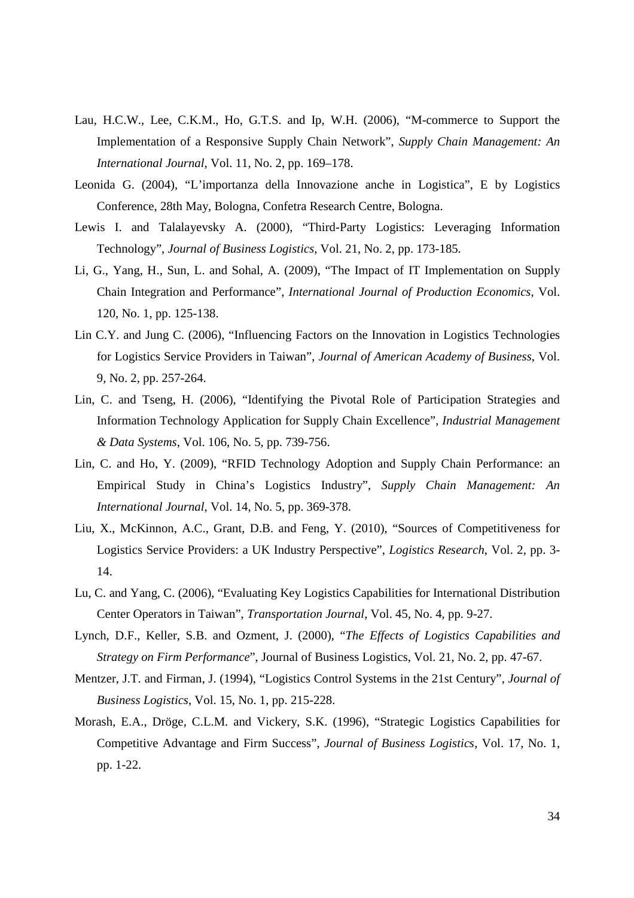- Lau, H.C.W., Lee, C.K.M., Ho, G.T.S. and Ip, W.H. (2006), "M-commerce to Support the Implementation of a Responsive Supply Chain Network", *Supply Chain Management: An International Journal*, Vol. 11, No. 2, pp. 169–178.
- Leonida G. (2004), "L'importanza della Innovazione anche in Logistica", E by Logistics Conference, 28th May, Bologna, Confetra Research Centre, Bologna.
- Lewis I. and Talalayevsky A. (2000), "Third-Party Logistics: Leveraging Information Technology", *Journal of Business Logistics*, Vol. 21, No. 2, pp. 173-185.
- Li, G., Yang, H., Sun, L. and Sohal, A. (2009), "The Impact of IT Implementation on Supply Chain Integration and Performance", *International Journal of Production Economics*, Vol. 120, No. 1, pp. 125-138.
- Lin C.Y. and Jung C. (2006), "Influencing Factors on the Innovation in Logistics Technologies for Logistics Service Providers in Taiwan", *Journal of American Academy of Business*, Vol. 9, No. 2, pp. 257-264.
- Lin, C. and Tseng, H. (2006), "Identifying the Pivotal Role of Participation Strategies and Information Technology Application for Supply Chain Excellence", *Industrial Management & Data Systems*, Vol. 106, No. 5, pp. 739-756.
- Lin, C. and Ho, Y. (2009), "RFID Technology Adoption and Supply Chain Performance: an Empirical Study in China's Logistics Industry", *Supply Chain Management: An International Journal*, Vol. 14, No. 5, pp. 369-378.
- Liu, X., McKinnon, A.C., Grant, D.B. and Feng, Y. (2010), "Sources of Competitiveness for Logistics Service Providers: a UK Industry Perspective", *Logistics Research*, Vol. 2, pp. 3- 14.
- Lu, C. and Yang, C. (2006), "Evaluating Key Logistics Capabilities for International Distribution Center Operators in Taiwan", *Transportation Journal*, Vol. 45, No. 4, pp. 9-27.
- Lynch, D.F., Keller, S.B. and Ozment, J. (2000), "*The Effects of Logistics Capabilities and Strategy on Firm Performance*", Journal of Business Logistics, Vol. 21, No. 2, pp. 47-67.
- Mentzer, J.T. and Firman, J. (1994), "Logistics Control Systems in the 21st Century", *Journal of Business Logistics*, Vol. 15, No. 1, pp. 215-228.
- Morash, E.A., Dröge, C.L.M. and Vickery, S.K. (1996), "Strategic Logistics Capabilities for Competitive Advantage and Firm Success", *Journal of Business Logistics*, Vol. 17, No. 1, pp. 1-22.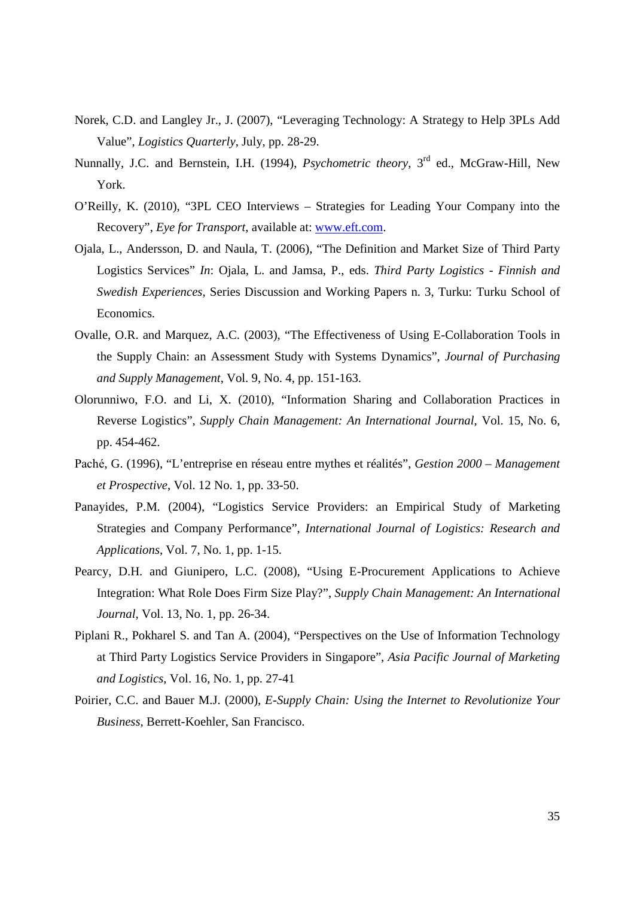- Norek, C.D. and Langley Jr., J. (2007), "Leveraging Technology: A Strategy to Help 3PLs Add Value", *Logistics Quarterly*, July, pp. 28-29.
- Nunnally, J.C. and Bernstein, I.H. (1994), *Psychometric theory*, 3rd ed., McGraw-Hill, New York.
- O'Reilly, K. (2010), "3PL CEO Interviews Strategies for Leading Your Company into the Recovery", *Eye for Transport*, available at: www.eft.com.
- Ojala, L., Andersson, D. and Naula, T. (2006), "The Definition and Market Size of Third Party Logistics Services" *In*: Ojala, L. and Jamsa, P., eds. *Third Party Logistics - Finnish and Swedish Experiences*, Series Discussion and Working Papers n. 3, Turku: Turku School of Economics.
- Ovalle, O.R. and Marquez, A.C. (2003), "The Effectiveness of Using E-Collaboration Tools in the Supply Chain: an Assessment Study with Systems Dynamics", *Journal of Purchasing and Supply Management*, Vol. 9, No. 4, pp. 151-163.
- Olorunniwo, F.O. and Li, X. (2010), "Information Sharing and Collaboration Practices in Reverse Logistics", *Supply Chain Management: An International Journal*, Vol. 15, No. 6, pp. 454-462.
- Paché, G. (1996), "L'entreprise en réseau entre mythes et réalités", *Gestion 2000 Management et Prospective*, Vol. 12 No. 1, pp. 33-50.
- Panayides, P.M. (2004), "Logistics Service Providers: an Empirical Study of Marketing Strategies and Company Performance", *International Journal of Logistics: Research and Applications*, Vol. 7, No. 1, pp. 1-15.
- Pearcy, D.H. and Giunipero, L.C. (2008), "Using E-Procurement Applications to Achieve Integration: What Role Does Firm Size Play?", *Supply Chain Management: An International Journal*, Vol. 13, No. 1, pp. 26-34.
- Piplani R., Pokharel S. and Tan A. (2004), "Perspectives on the Use of Information Technology at Third Party Logistics Service Providers in Singapore", *Asia Pacific Journal of Marketing and Logistics*, Vol. 16, No. 1, pp. 27-41
- Poirier, C.C. and Bauer M.J. (2000), *E-Supply Chain: Using the Internet to Revolutionize Your Business,* Berrett-Koehler, San Francisco.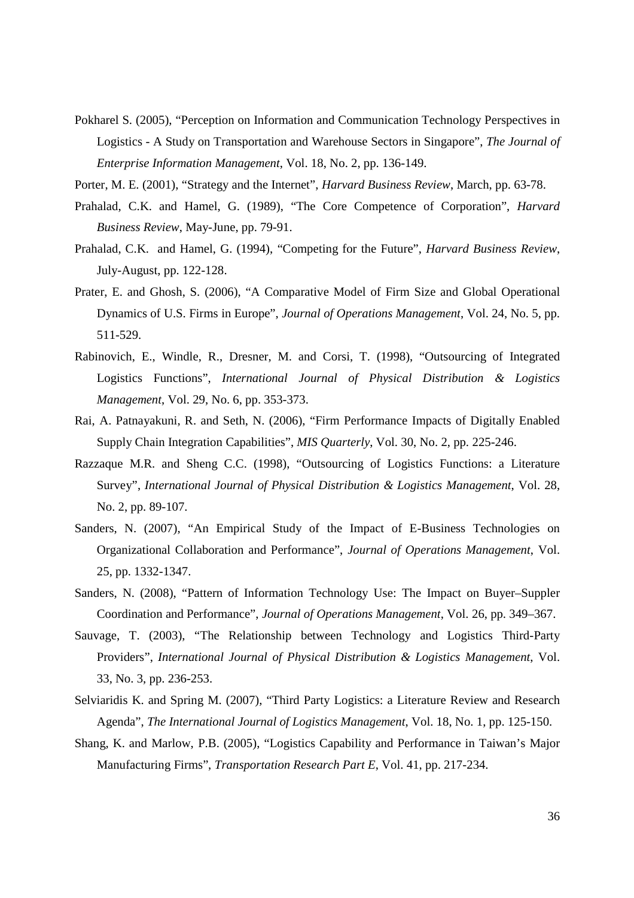- Pokharel S. (2005), "Perception on Information and Communication Technology Perspectives in Logistics - A Study on Transportation and Warehouse Sectors in Singapore", *The Journal of Enterprise Information Management*, Vol. 18, No. 2, pp. 136-149.
- Porter, M. E. (2001), "Strategy and the Internet", *Harvard Business Review*, March, pp. 63-78.
- Prahalad, C.K. and Hamel, G. (1989), "The Core Competence of Corporation", *Harvard Business Review*, May-June, pp. 79-91.
- Prahalad, C.K. and Hamel, G. (1994), "Competing for the Future", *Harvard Business Review*, July-August, pp. 122-128.
- Prater, E. and Ghosh, S. (2006), "A Comparative Model of Firm Size and Global Operational Dynamics of U.S. Firms in Europe", *Journal of Operations Management*, Vol. 24, No. 5, pp. 511-529.
- Rabinovich, E., Windle, R., Dresner, M. and Corsi, T. (1998), "Outsourcing of Integrated Logistics Functions", *International Journal of Physical Distribution & Logistics Management*, Vol. 29, No. 6, pp. 353-373.
- Rai, A. Patnayakuni, R. and Seth, N. (2006), "Firm Performance Impacts of Digitally Enabled Supply Chain Integration Capabilities", *MIS Quarterly*, Vol. 30, No. 2, pp. 225-246.
- Razzaque M.R. and Sheng C.C. (1998), "Outsourcing of Logistics Functions: a Literature Survey", *International Journal of Physical Distribution & Logistics Management*, Vol. 28, No. 2, pp. 89-107.
- Sanders, N. (2007), "An Empirical Study of the Impact of E-Business Technologies on Organizational Collaboration and Performance", *Journal of Operations Management*, Vol. 25, pp. 1332-1347.
- Sanders, N. (2008), "Pattern of Information Technology Use: The Impact on Buyer–Suppler Coordination and Performance", *Journal of Operations Management*, Vol. 26, pp. 349–367.
- Sauvage, T. (2003), "The Relationship between Technology and Logistics Third-Party Providers", *International Journal of Physical Distribution & Logistics Management*, Vol. 33, No. 3, pp. 236-253.
- Selviaridis K. and Spring M. (2007), "Third Party Logistics: a Literature Review and Research Agenda", *The International Journal of Logistics Management*, Vol. 18, No. 1, pp. 125-150.
- Shang, K. and Marlow, P.B. (2005), "Logistics Capability and Performance in Taiwan's Major Manufacturing Firms", *Transportation Research Part E*, Vol. 41, pp. 217-234.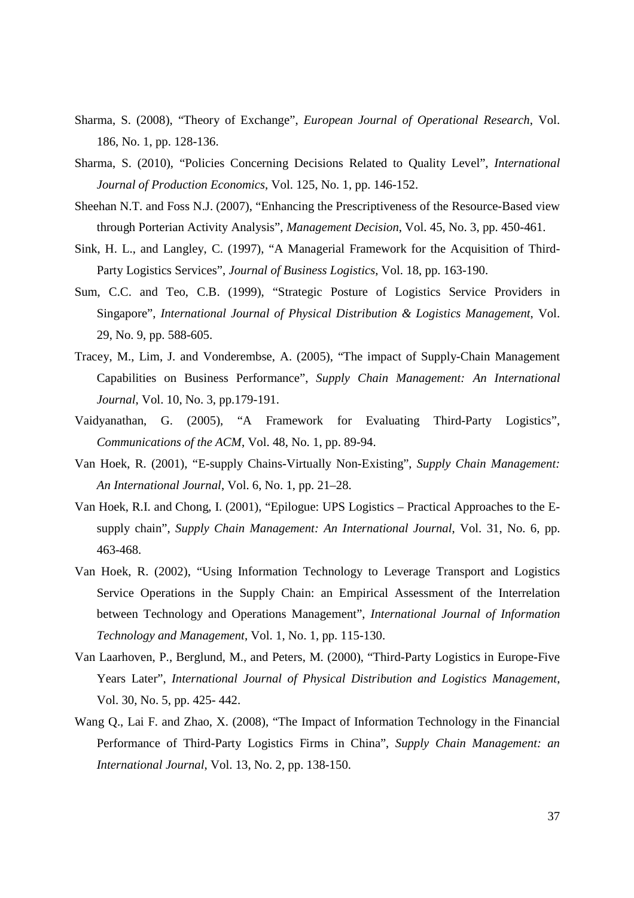- Sharma, S. (2008), "Theory of Exchange", *European Journal of Operational Research*, Vol. 186, No. 1, pp. 128-136.
- Sharma, S. (2010), "Policies Concerning Decisions Related to Quality Level", *International Journal of Production Economics*, Vol. 125, No. 1, pp. 146-152.
- Sheehan N.T. and Foss N.J. (2007), "Enhancing the Prescriptiveness of the Resource-Based view through Porterian Activity Analysis", *Management Decision*, Vol. 45, No. 3, pp. 450-461.
- Sink, H. L., and Langley, C. (1997), "A Managerial Framework for the Acquisition of Third-Party Logistics Services", *Journal of Business Logistics*, Vol. 18, pp. 163-190.
- Sum, C.C. and Teo, C.B. (1999), "Strategic Posture of Logistics Service Providers in Singapore", *International Journal of Physical Distribution & Logistics Management*, Vol. 29, No. 9, pp. 588-605.
- Tracey, M., Lim, J. and Vonderembse, A. (2005), "The impact of Supply-Chain Management Capabilities on Business Performance", *Supply Chain Management: An International Journal*, Vol. 10, No. 3, pp.179-191.
- Vaidyanathan, G. (2005), "A Framework for Evaluating Third-Party Logistics", *Communications of the ACM*, Vol. 48, No. 1, pp. 89-94.
- Van Hoek, R. (2001), "E-supply Chains-Virtually Non-Existing", *Supply Chain Management: An International Journal*, Vol. 6, No. 1, pp. 21–28.
- Van Hoek, R.I. and Chong, I. (2001), "Epilogue: UPS Logistics Practical Approaches to the Esupply chain", *Supply Chain Management: An International Journal*, Vol. 31, No. 6, pp. 463-468.
- Van Hoek, R. (2002), "Using Information Technology to Leverage Transport and Logistics Service Operations in the Supply Chain: an Empirical Assessment of the Interrelation between Technology and Operations Management", *International Journal of Information Technology and Management*, Vol. 1, No. 1, pp. 115-130.
- Van Laarhoven, P., Berglund, M., and Peters, M. (2000), "Third-Party Logistics in Europe-Five Years Later", *International Journal of Physical Distribution and Logistics Management*, Vol. 30, No. 5, pp. 425- 442.
- Wang Q., Lai F. and Zhao, X. (2008), "The Impact of Information Technology in the Financial Performance of Third-Party Logistics Firms in China", *Supply Chain Management: an International Journal*, Vol. 13, No. 2, pp. 138-150.